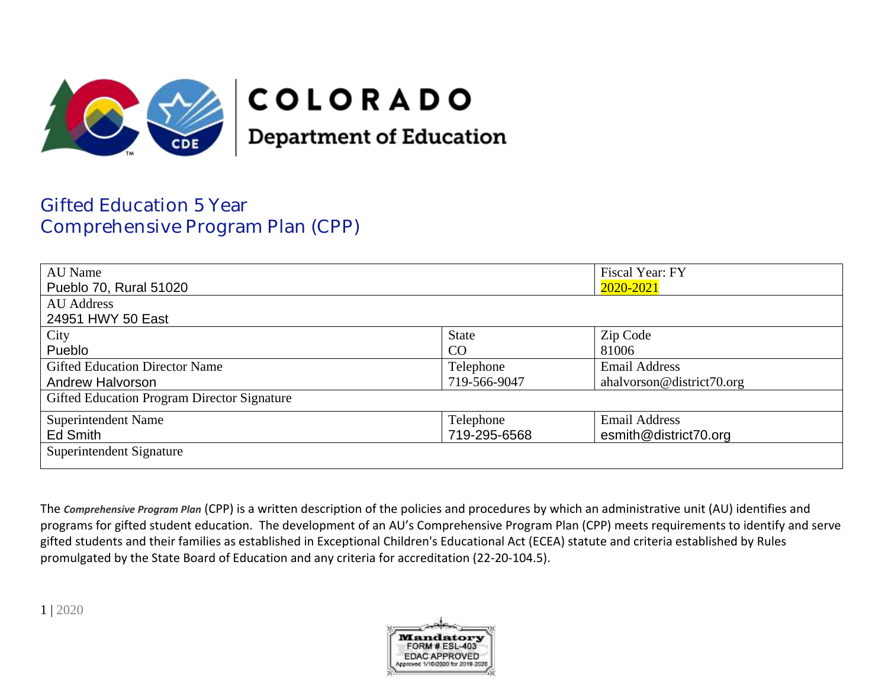

# **COLORADO**

**Department of Education** 

## Gifted Education 5 Year Comprehensive Program Plan (CPP)

| AU Name                                            |              | Fiscal Year: FY           |
|----------------------------------------------------|--------------|---------------------------|
| Pueblo 70, Rural 51020                             |              | 2020-2021                 |
| <b>AU</b> Address                                  |              |                           |
| 24951 HWY 50 East                                  |              |                           |
| City                                               | <b>State</b> | Zip Code                  |
| Pueblo                                             | CO           | 81006                     |
| <b>Gifted Education Director Name</b>              | Telephone    | <b>Email Address</b>      |
| Andrew Halvorson                                   | 719-566-9047 | ahalvorson@district70.org |
| <b>Gifted Education Program Director Signature</b> |              |                           |
| <b>Superintendent Name</b>                         | Telephone    | <b>Email Address</b>      |
| Ed Smith                                           | 719-295-6568 | esmith@district70.org     |
| Superintendent Signature                           |              |                           |

The *Comprehensive Program Plan* (CPP) is a written description of the policies and procedures by which an administrative unit (AU) identifies and programs for gifted student education. The development of an AU's Comprehensive Program Plan (CPP) meets requirements to identify and serve gifted students and their families as established in Exceptional Children's Educational Act (ECEA) statute and criteria established by Rules promulgated by the State Board of Education and any criteria for accreditation (22-20-104.5).

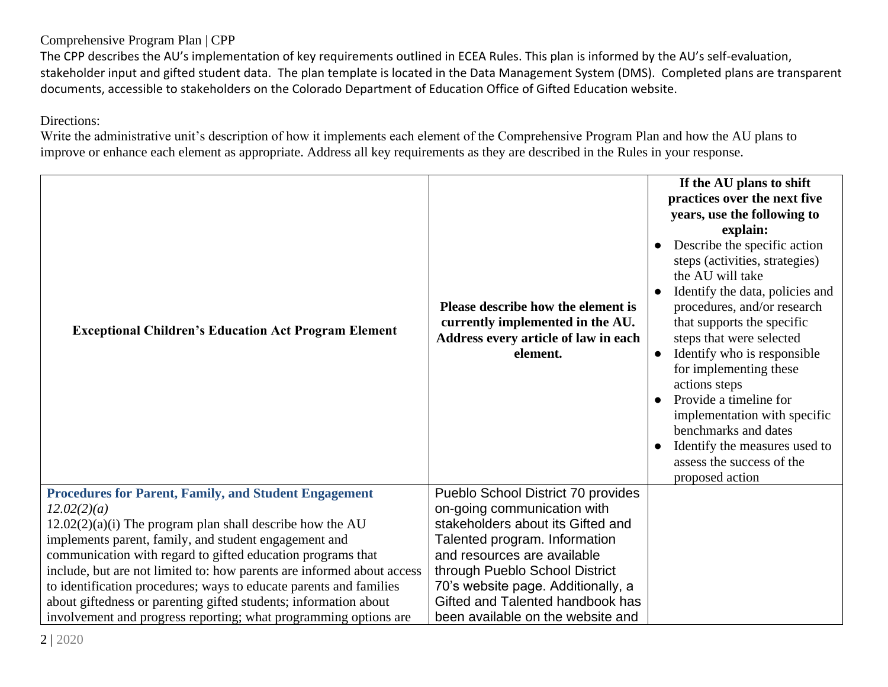### Comprehensive Program Plan | CPP

The CPP describes the AU's implementation of key requirements outlined in ECEA Rules. This plan is informed by the AU's self-evaluation, stakeholder input and gifted student data. The plan template is located in the Data Management System (DMS). Completed plans are transparent documents, accessible to stakeholders on the Colorado Department of Education Office of Gifted Education website.

Directions:

Write the administrative unit's description of how it implements each element of the Comprehensive Program Plan and how the AU plans to improve or enhance each element as appropriate. Address all key requirements as they are described in the Rules in your response.

| <b>Exceptional Children's Education Act Program Element</b>                                                                                                                                                                                                                                                                                                                                                                                                                                                                                                | Please describe how the element is<br>currently implemented in the AU.<br>Address every article of law in each<br>element.                                                                                                                                                                                              | If the AU plans to shift<br>practices over the next five<br>years, use the following to<br>explain:<br>Describe the specific action<br>$\bullet$<br>steps (activities, strategies)<br>the AU will take<br>Identify the data, policies and<br>procedures, and/or research<br>that supports the specific<br>steps that were selected<br>Identify who is responsible<br>$\bullet$<br>for implementing these<br>actions steps<br>Provide a timeline for<br>implementation with specific<br>benchmarks and dates<br>Identify the measures used to<br>assess the success of the<br>proposed action |
|------------------------------------------------------------------------------------------------------------------------------------------------------------------------------------------------------------------------------------------------------------------------------------------------------------------------------------------------------------------------------------------------------------------------------------------------------------------------------------------------------------------------------------------------------------|-------------------------------------------------------------------------------------------------------------------------------------------------------------------------------------------------------------------------------------------------------------------------------------------------------------------------|----------------------------------------------------------------------------------------------------------------------------------------------------------------------------------------------------------------------------------------------------------------------------------------------------------------------------------------------------------------------------------------------------------------------------------------------------------------------------------------------------------------------------------------------------------------------------------------------|
| <b>Procedures for Parent, Family, and Student Engagement</b><br>12.02(2)(a)<br>$12.02(2)(a)(i)$ The program plan shall describe how the AU<br>implements parent, family, and student engagement and<br>communication with regard to gifted education programs that<br>include, but are not limited to: how parents are informed about access<br>to identification procedures; ways to educate parents and families<br>about giftedness or parenting gifted students; information about<br>involvement and progress reporting; what programming options are | Pueblo School District 70 provides<br>on-going communication with<br>stakeholders about its Gifted and<br>Talented program. Information<br>and resources are available<br>through Pueblo School District<br>70's website page. Additionally, a<br>Gifted and Talented handbook has<br>been available on the website and |                                                                                                                                                                                                                                                                                                                                                                                                                                                                                                                                                                                              |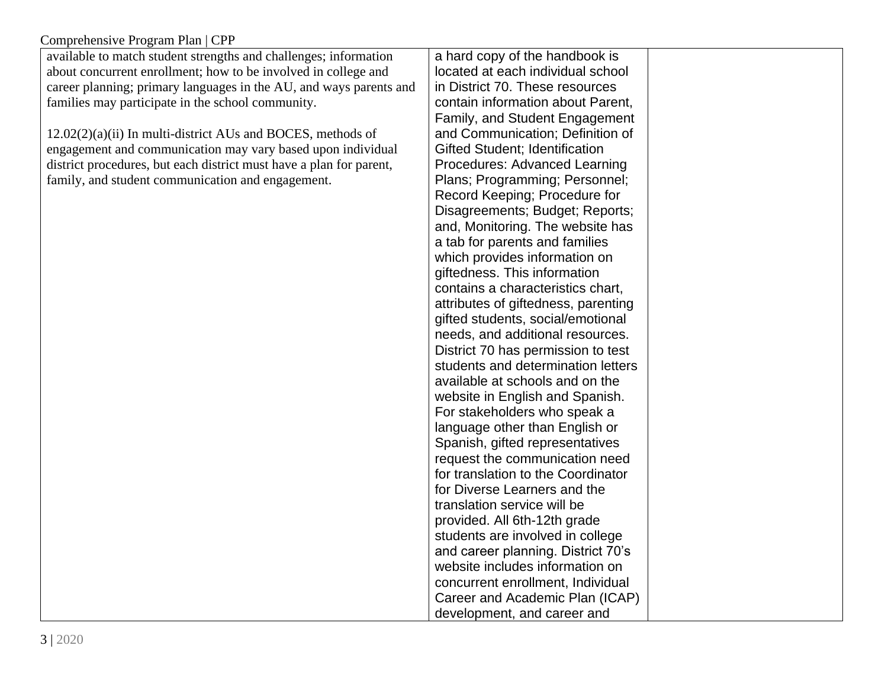#### Comprehensive Program Plan | CPP

| $\sim$ omprehensive 1 rogram 1 mm $\sim$ 1 r                        |                                       |  |
|---------------------------------------------------------------------|---------------------------------------|--|
| available to match student strengths and challenges; information    | a hard copy of the handbook is        |  |
| about concurrent enrollment; how to be involved in college and      | located at each individual school     |  |
| career planning; primary languages in the AU, and ways parents and  | in District 70. These resources       |  |
| families may participate in the school community.                   | contain information about Parent,     |  |
|                                                                     | Family, and Student Engagement        |  |
| $12.02(2)(a)(ii)$ In multi-district AUs and BOCES, methods of       | and Communication; Definition of      |  |
| engagement and communication may vary based upon individual         | <b>Gifted Student; Identification</b> |  |
| district procedures, but each district must have a plan for parent, | Procedures: Advanced Learning         |  |
| family, and student communication and engagement.                   | Plans; Programming; Personnel;        |  |
|                                                                     | Record Keeping; Procedure for         |  |
|                                                                     | Disagreements; Budget; Reports;       |  |
|                                                                     | and, Monitoring. The website has      |  |
|                                                                     | a tab for parents and families        |  |
|                                                                     | which provides information on         |  |
|                                                                     | giftedness. This information          |  |
|                                                                     | contains a characteristics chart,     |  |
|                                                                     | attributes of giftedness, parenting   |  |
|                                                                     | gifted students, social/emotional     |  |
|                                                                     | needs, and additional resources.      |  |
|                                                                     | District 70 has permission to test    |  |
|                                                                     | students and determination letters    |  |
|                                                                     | available at schools and on the       |  |
|                                                                     | website in English and Spanish.       |  |
|                                                                     | For stakeholders who speak a          |  |
|                                                                     | language other than English or        |  |
|                                                                     | Spanish, gifted representatives       |  |
|                                                                     | request the communication need        |  |
|                                                                     | for translation to the Coordinator    |  |
|                                                                     | for Diverse Learners and the          |  |
|                                                                     | translation service will be           |  |
|                                                                     | provided. All 6th-12th grade          |  |
|                                                                     | students are involved in college      |  |
|                                                                     | and career planning. District 70's    |  |
|                                                                     | website includes information on       |  |
|                                                                     | concurrent enrollment, Individual     |  |
|                                                                     | Career and Academic Plan (ICAP)       |  |
|                                                                     | development, and career and           |  |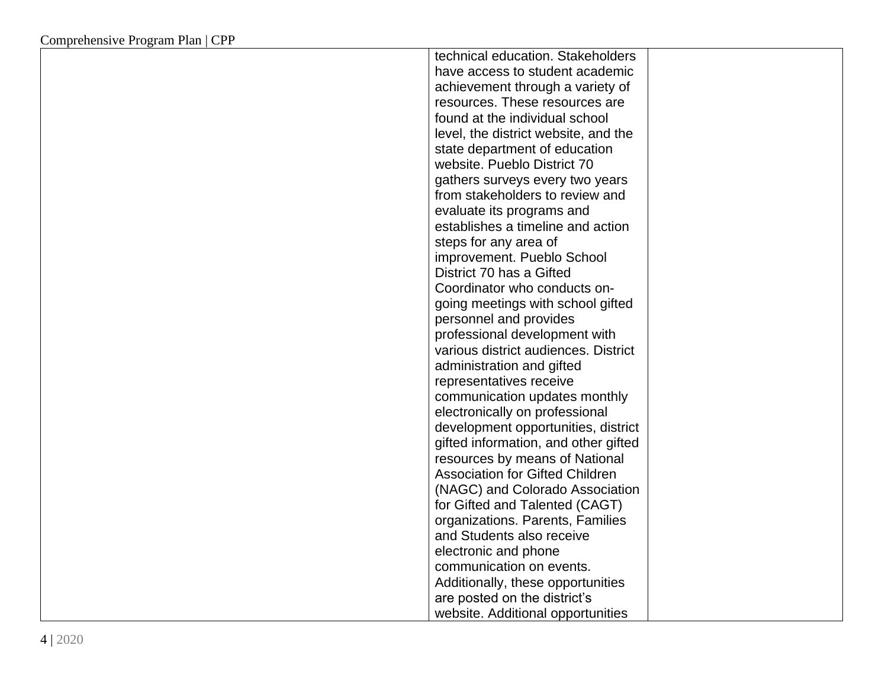| technical education. Stakeholders      |  |
|----------------------------------------|--|
| have access to student academic        |  |
| achievement through a variety of       |  |
| resources. These resources are         |  |
| found at the individual school         |  |
| level, the district website, and the   |  |
| state department of education          |  |
| website. Pueblo District 70            |  |
| gathers surveys every two years        |  |
| from stakeholders to review and        |  |
| evaluate its programs and              |  |
| establishes a timeline and action      |  |
| steps for any area of                  |  |
| improvement. Pueblo School             |  |
| District 70 has a Gifted               |  |
| Coordinator who conducts on-           |  |
| going meetings with school gifted      |  |
| personnel and provides                 |  |
| professional development with          |  |
| various district audiences. District   |  |
| administration and gifted              |  |
| representatives receive                |  |
| communication updates monthly          |  |
| electronically on professional         |  |
| development opportunities, district    |  |
| gifted information, and other gifted   |  |
| resources by means of National         |  |
| <b>Association for Gifted Children</b> |  |
| (NAGC) and Colorado Association        |  |
| for Gifted and Talented (CAGT)         |  |
| organizations. Parents, Families       |  |
| and Students also receive              |  |
| electronic and phone                   |  |
| communication on events.               |  |
| Additionally, these opportunities      |  |
| are posted on the district's           |  |
| website. Additional opportunities      |  |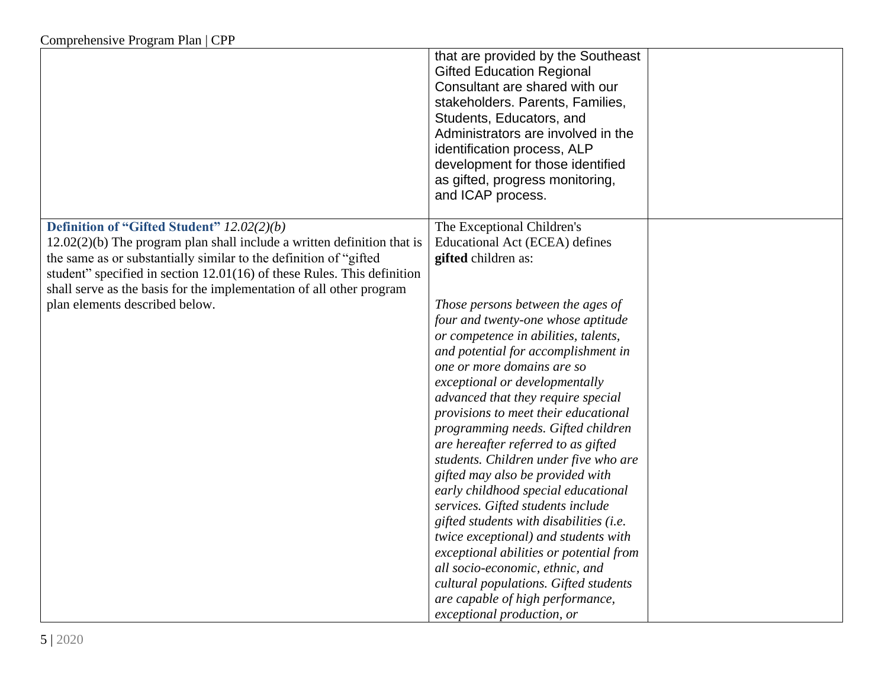|                                                                                                                                                                                                                                                                                                                                                                                   | that are provided by the Southeast<br><b>Gifted Education Regional</b><br>Consultant are shared with our<br>stakeholders. Parents, Families,<br>Students, Educators, and<br>Administrators are involved in the<br>identification process, ALP<br>development for those identified<br>as gifted, progress monitoring,<br>and ICAP process.                                                                                                                                                                                                                                                                                                                                                                                                                                                                                                                                                                     |  |
|-----------------------------------------------------------------------------------------------------------------------------------------------------------------------------------------------------------------------------------------------------------------------------------------------------------------------------------------------------------------------------------|---------------------------------------------------------------------------------------------------------------------------------------------------------------------------------------------------------------------------------------------------------------------------------------------------------------------------------------------------------------------------------------------------------------------------------------------------------------------------------------------------------------------------------------------------------------------------------------------------------------------------------------------------------------------------------------------------------------------------------------------------------------------------------------------------------------------------------------------------------------------------------------------------------------|--|
| Definition of "Gifted Student" 12.02(2)(b)<br>$12.02(2)(b)$ The program plan shall include a written definition that is<br>the same as or substantially similar to the definition of "gifted<br>student" specified in section 12.01(16) of these Rules. This definition<br>shall serve as the basis for the implementation of all other program<br>plan elements described below. | The Exceptional Children's<br>Educational Act (ECEA) defines<br>gifted children as:<br>Those persons between the ages of<br>four and twenty-one whose aptitude<br>or competence in abilities, talents,<br>and potential for accomplishment in<br>one or more domains are so<br>exceptional or developmentally<br>advanced that they require special<br>provisions to meet their educational<br>programming needs. Gifted children<br>are hereafter referred to as gifted<br>students. Children under five who are<br>gifted may also be provided with<br>early childhood special educational<br>services. Gifted students include<br>gifted students with disabilities (i.e.<br>twice exceptional) and students with<br>exceptional abilities or potential from<br>all socio-economic, ethnic, and<br>cultural populations. Gifted students<br>are capable of high performance,<br>exceptional production, or |  |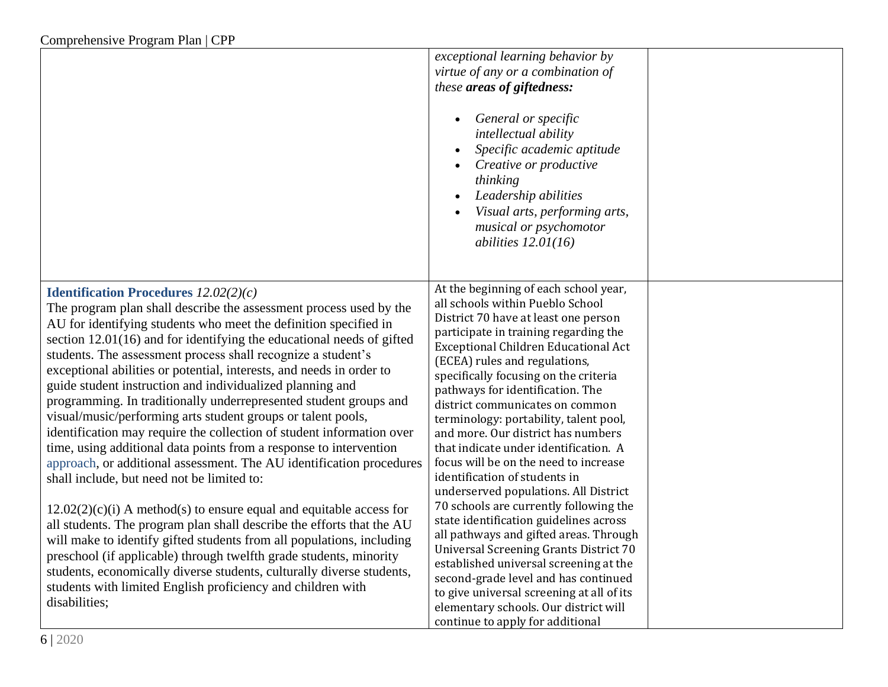|                                                                                                                                                                                                                                                                                                                                                                                                                                                                                                                                                                                                                                                                                                                                                                                                                                                                                                                                                                                                                                                                                                                                                                                                                                                                                                                                            | exceptional learning behavior by<br>virtue of any or a combination of<br>these areas of giftedness:<br>General or specific<br>$\bullet$<br>intellectual ability<br>Specific academic aptitude<br>Creative or productive<br>thinking<br>Leadership abilities<br>Visual arts, performing arts,<br>musical or psychomotor<br>abilities $12.01(16)$                                                                                                                                                                                                                                                                                                                                                                                                                                                                                                                                                                                                                                     |  |
|--------------------------------------------------------------------------------------------------------------------------------------------------------------------------------------------------------------------------------------------------------------------------------------------------------------------------------------------------------------------------------------------------------------------------------------------------------------------------------------------------------------------------------------------------------------------------------------------------------------------------------------------------------------------------------------------------------------------------------------------------------------------------------------------------------------------------------------------------------------------------------------------------------------------------------------------------------------------------------------------------------------------------------------------------------------------------------------------------------------------------------------------------------------------------------------------------------------------------------------------------------------------------------------------------------------------------------------------|-------------------------------------------------------------------------------------------------------------------------------------------------------------------------------------------------------------------------------------------------------------------------------------------------------------------------------------------------------------------------------------------------------------------------------------------------------------------------------------------------------------------------------------------------------------------------------------------------------------------------------------------------------------------------------------------------------------------------------------------------------------------------------------------------------------------------------------------------------------------------------------------------------------------------------------------------------------------------------------|--|
| <b>Identification Procedures</b> $12.02(2)(c)$<br>The program plan shall describe the assessment process used by the<br>AU for identifying students who meet the definition specified in<br>section 12.01(16) and for identifying the educational needs of gifted<br>students. The assessment process shall recognize a student's<br>exceptional abilities or potential, interests, and needs in order to<br>guide student instruction and individualized planning and<br>programming. In traditionally underrepresented student groups and<br>visual/music/performing arts student groups or talent pools,<br>identification may require the collection of student information over<br>time, using additional data points from a response to intervention<br>approach, or additional assessment. The AU identification procedures<br>shall include, but need not be limited to:<br>$12.02(2)(c)(i)$ A method(s) to ensure equal and equitable access for<br>all students. The program plan shall describe the efforts that the AU<br>will make to identify gifted students from all populations, including<br>preschool (if applicable) through twelfth grade students, minority<br>students, economically diverse students, culturally diverse students,<br>students with limited English proficiency and children with<br>disabilities; | At the beginning of each school year,<br>all schools within Pueblo School<br>District 70 have at least one person<br>participate in training regarding the<br>Exceptional Children Educational Act<br>(ECEA) rules and regulations,<br>specifically focusing on the criteria<br>pathways for identification. The<br>district communicates on common<br>terminology: portability, talent pool,<br>and more. Our district has numbers<br>that indicate under identification. A<br>focus will be on the need to increase<br>identification of students in<br>underserved populations. All District<br>70 schools are currently following the<br>state identification guidelines across<br>all pathways and gifted areas. Through<br>Universal Screening Grants District 70<br>established universal screening at the<br>second-grade level and has continued<br>to give universal screening at all of its<br>elementary schools. Our district will<br>continue to apply for additional |  |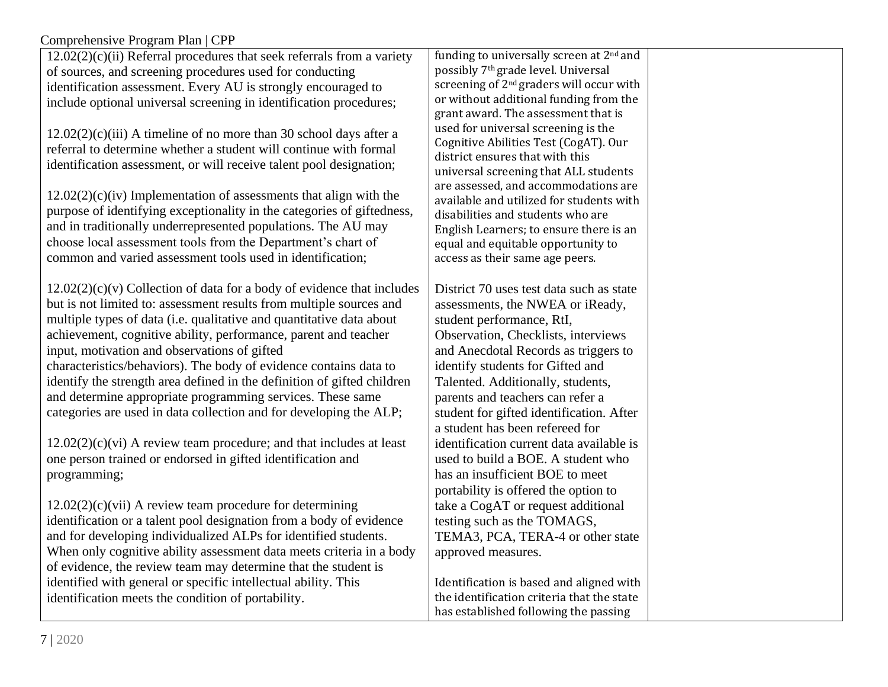| Comprehensive Program Plan   CPP                                         |                                                                                        |  |
|--------------------------------------------------------------------------|----------------------------------------------------------------------------------------|--|
| $12.02(2)(c)(ii)$ Referral procedures that seek referrals from a variety | funding to universally screen at 2 <sup>nd</sup> and                                   |  |
| of sources, and screening procedures used for conducting                 | possibly 7 <sup>th</sup> grade level. Universal                                        |  |
| identification assessment. Every AU is strongly encouraged to            | screening of 2 <sup>nd</sup> graders will occur with                                   |  |
| include optional universal screening in identification procedures;       | or without additional funding from the                                                 |  |
|                                                                          | grant award. The assessment that is                                                    |  |
| $12.02(2)(c)(iii)$ A timeline of no more than 30 school days after a     | used for universal screening is the                                                    |  |
| referral to determine whether a student will continue with formal        | Cognitive Abilities Test (CogAT). Our<br>district ensures that with this               |  |
| identification assessment, or will receive talent pool designation;      | universal screening that ALL students                                                  |  |
|                                                                          | are assessed, and accommodations are                                                   |  |
| $12.02(2)(c)(iv)$ Implementation of assessments that align with the      | available and utilized for students with                                               |  |
| purpose of identifying exceptionality in the categories of giftedness,   | disabilities and students who are                                                      |  |
| and in traditionally underrepresented populations. The AU may            | English Learners; to ensure there is an                                                |  |
| choose local assessment tools from the Department's chart of             | equal and equitable opportunity to                                                     |  |
| common and varied assessment tools used in identification;               | access as their same age peers.                                                        |  |
|                                                                          |                                                                                        |  |
| $12.02(2)(c)(v)$ Collection of data for a body of evidence that includes | District 70 uses test data such as state                                               |  |
| but is not limited to: assessment results from multiple sources and      | assessments, the NWEA or iReady,                                                       |  |
| multiple types of data (i.e. qualitative and quantitative data about     | student performance, RtI,                                                              |  |
| achievement, cognitive ability, performance, parent and teacher          | Observation, Checklists, interviews                                                    |  |
| input, motivation and observations of gifted                             | and Anecdotal Records as triggers to                                                   |  |
| characteristics/behaviors). The body of evidence contains data to        | identify students for Gifted and                                                       |  |
| identify the strength area defined in the definition of gifted children  | Talented. Additionally, students,                                                      |  |
| and determine appropriate programming services. These same               | parents and teachers can refer a                                                       |  |
| categories are used in data collection and for developing the ALP;       | student for gifted identification. After                                               |  |
|                                                                          | a student has been refereed for                                                        |  |
| $12.02(2)(c)(vi)$ A review team procedure; and that includes at least    | identification current data available is                                               |  |
| one person trained or endorsed in gifted identification and              | used to build a BOE. A student who                                                     |  |
| programming;                                                             | has an insufficient BOE to meet                                                        |  |
|                                                                          | portability is offered the option to                                                   |  |
| $12.02(2)(c)(vii)$ A review team procedure for determining               | take a CogAT or request additional                                                     |  |
| identification or a talent pool designation from a body of evidence      | testing such as the TOMAGS,                                                            |  |
| and for developing individualized ALPs for identified students.          | TEMA3, PCA, TERA-4 or other state                                                      |  |
| When only cognitive ability assessment data meets criteria in a body     | approved measures.                                                                     |  |
| of evidence, the review team may determine that the student is           |                                                                                        |  |
| identified with general or specific intellectual ability. This           | Identification is based and aligned with<br>the identification criteria that the state |  |
| identification meets the condition of portability.                       | has established following the passing                                                  |  |
|                                                                          |                                                                                        |  |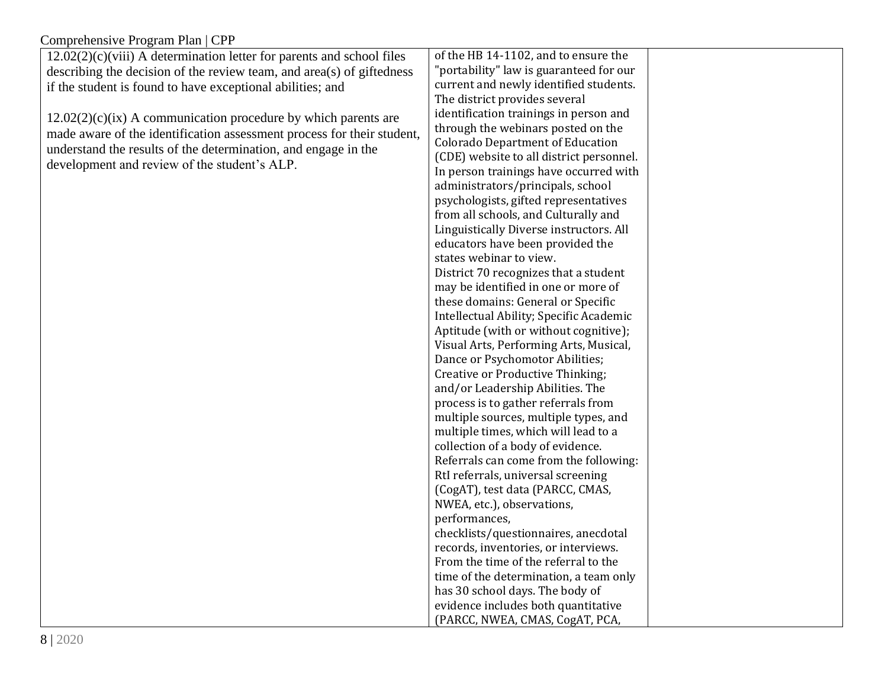| Comprehensive Program Plan   CPP                                        |                                          |
|-------------------------------------------------------------------------|------------------------------------------|
| $12.02(2)(c)(viii)$ A determination letter for parents and school files | of the HB 14-1102, and to ensure the     |
| describing the decision of the review team, and area(s) of giftedness   | "portability" law is guaranteed for our  |
| if the student is found to have exceptional abilities; and              | current and newly identified students.   |
|                                                                         | The district provides several            |
| $12.02(2)(c)(ix)$ A communication procedure by which parents are        | identification trainings in person and   |
| made aware of the identification assessment process for their student,  | through the webinars posted on the       |
| understand the results of the determination, and engage in the          | <b>Colorado Department of Education</b>  |
| development and review of the student's ALP.                            | (CDE) website to all district personnel. |
|                                                                         | In person trainings have occurred with   |
|                                                                         | administrators/principals, school        |
|                                                                         | psychologists, gifted representatives    |
|                                                                         | from all schools, and Culturally and     |
|                                                                         | Linguistically Diverse instructors. All  |
|                                                                         | educators have been provided the         |
|                                                                         | states webinar to view.                  |
|                                                                         | District 70 recognizes that a student    |
|                                                                         | may be identified in one or more of      |
|                                                                         | these domains: General or Specific       |
|                                                                         | Intellectual Ability; Specific Academic  |
|                                                                         | Aptitude (with or without cognitive);    |
|                                                                         | Visual Arts, Performing Arts, Musical,   |
|                                                                         | Dance or Psychomotor Abilities;          |
|                                                                         | Creative or Productive Thinking;         |
|                                                                         | and/or Leadership Abilities. The         |
|                                                                         | process is to gather referrals from      |
|                                                                         | multiple sources, multiple types, and    |
|                                                                         | multiple times, which will lead to a     |
|                                                                         | collection of a body of evidence.        |
|                                                                         | Referrals can come from the following:   |
|                                                                         | RtI referrals, universal screening       |
|                                                                         | (CogAT), test data (PARCC, CMAS,         |
|                                                                         | NWEA, etc.), observations,               |
|                                                                         | performances,                            |
|                                                                         | checklists/questionnaires, anecdotal     |
|                                                                         | records, inventories, or interviews.     |
|                                                                         | From the time of the referral to the     |
|                                                                         | time of the determination, a team only   |
|                                                                         | has 30 school days. The body of          |
|                                                                         | evidence includes both quantitative      |
|                                                                         | (PARCC, NWEA, CMAS, CogAT, PCA,          |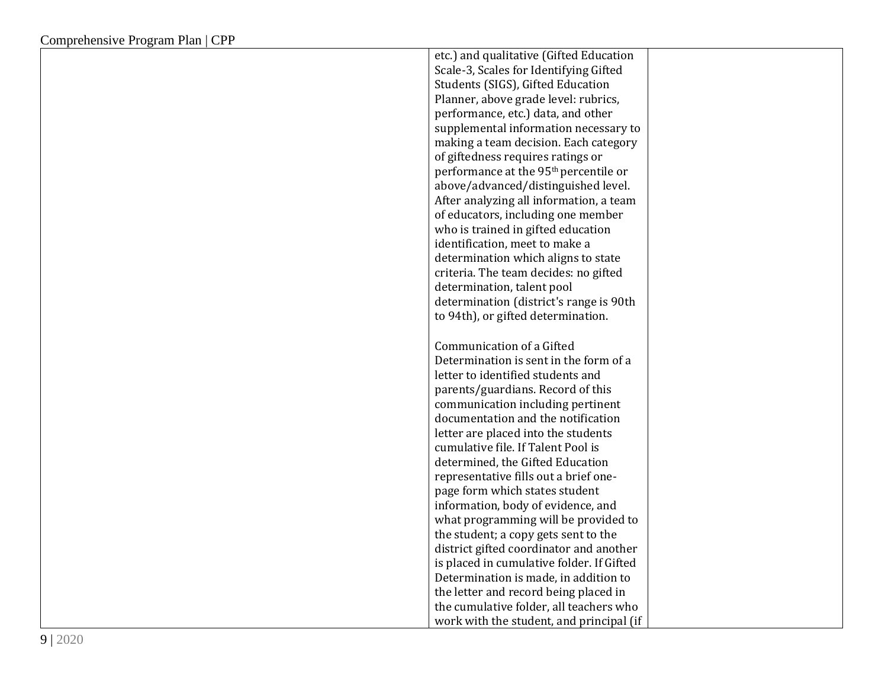| etc.) and qualitative (Gifted Education           |  |
|---------------------------------------------------|--|
| Scale-3, Scales for Identifying Gifted            |  |
| Students (SIGS), Gifted Education                 |  |
| Planner, above grade level: rubrics,              |  |
| performance, etc.) data, and other                |  |
| supplemental information necessary to             |  |
| making a team decision. Each category             |  |
| of giftedness requires ratings or                 |  |
| performance at the 95 <sup>th</sup> percentile or |  |
| above/advanced/distinguished level.               |  |
| After analyzing all information, a team           |  |
| of educators, including one member                |  |
| who is trained in gifted education                |  |
| identification, meet to make a                    |  |
| determination which aligns to state               |  |
| criteria. The team decides: no gifted             |  |
| determination, talent pool                        |  |
| determination (district's range is 90th           |  |
| to 94th), or gifted determination.                |  |
|                                                   |  |
| Communication of a Gifted                         |  |
| Determination is sent in the form of a            |  |
| letter to identified students and                 |  |
| parents/guardians. Record of this                 |  |
| communication including pertinent                 |  |
| documentation and the notification                |  |
| letter are placed into the students               |  |
| cumulative file. If Talent Pool is                |  |
| determined, the Gifted Education                  |  |
| representative fills out a brief one-             |  |
| page form which states student                    |  |
| information, body of evidence, and                |  |
| what programming will be provided to              |  |
| the student; a copy gets sent to the              |  |
| district gifted coordinator and another           |  |
| is placed in cumulative folder. If Gifted         |  |
| Determination is made, in addition to             |  |
| the letter and record being placed in             |  |
| the cumulative folder, all teachers who           |  |
| work with the student, and principal (if          |  |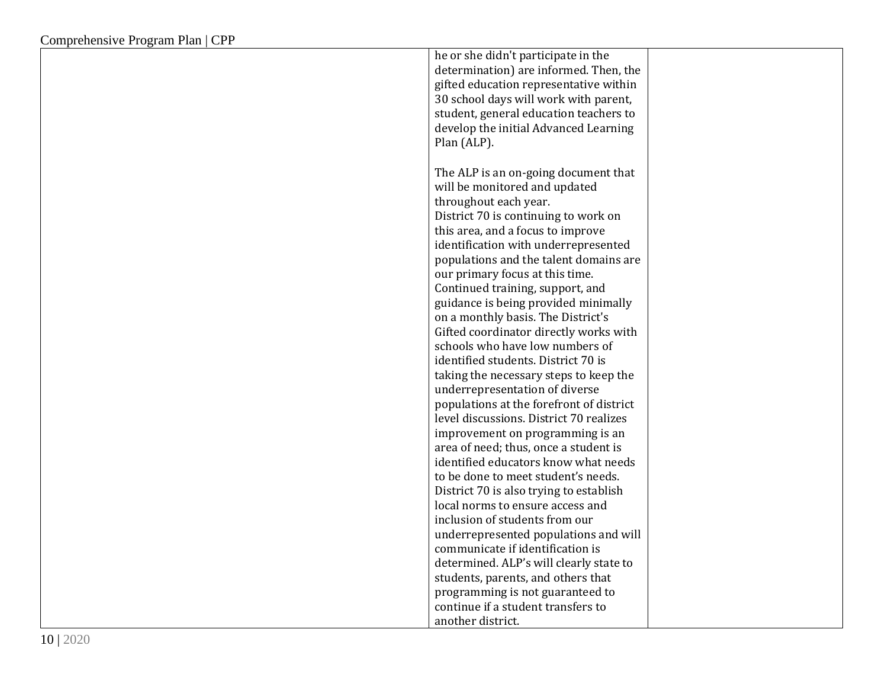| he or she didn't participate in the      |  |
|------------------------------------------|--|
| determination) are informed. Then, the   |  |
| gifted education representative within   |  |
| 30 school days will work with parent,    |  |
| student, general education teachers to   |  |
| develop the initial Advanced Learning    |  |
| Plan (ALP).                              |  |
|                                          |  |
| The ALP is an on-going document that     |  |
| will be monitored and updated            |  |
| throughout each year.                    |  |
| District 70 is continuing to work on     |  |
| this area, and a focus to improve        |  |
| identification with underrepresented     |  |
| populations and the talent domains are   |  |
| our primary focus at this time.          |  |
| Continued training, support, and         |  |
| guidance is being provided minimally     |  |
| on a monthly basis. The District's       |  |
| Gifted coordinator directly works with   |  |
| schools who have low numbers of          |  |
| identified students. District 70 is      |  |
| taking the necessary steps to keep the   |  |
| underrepresentation of diverse           |  |
| populations at the forefront of district |  |
| level discussions. District 70 realizes  |  |
| improvement on programming is an         |  |
| area of need; thus, once a student is    |  |
| identified educators know what needs     |  |
| to be done to meet student's needs.      |  |
| District 70 is also trying to establish  |  |
| local norms to ensure access and         |  |
| inclusion of students from our           |  |
| underrepresented populations and will    |  |
| communicate if identification is         |  |
| determined. ALP's will clearly state to  |  |
| students, parents, and others that       |  |
| programming is not guaranteed to         |  |
| continue if a student transfers to       |  |
| another district.                        |  |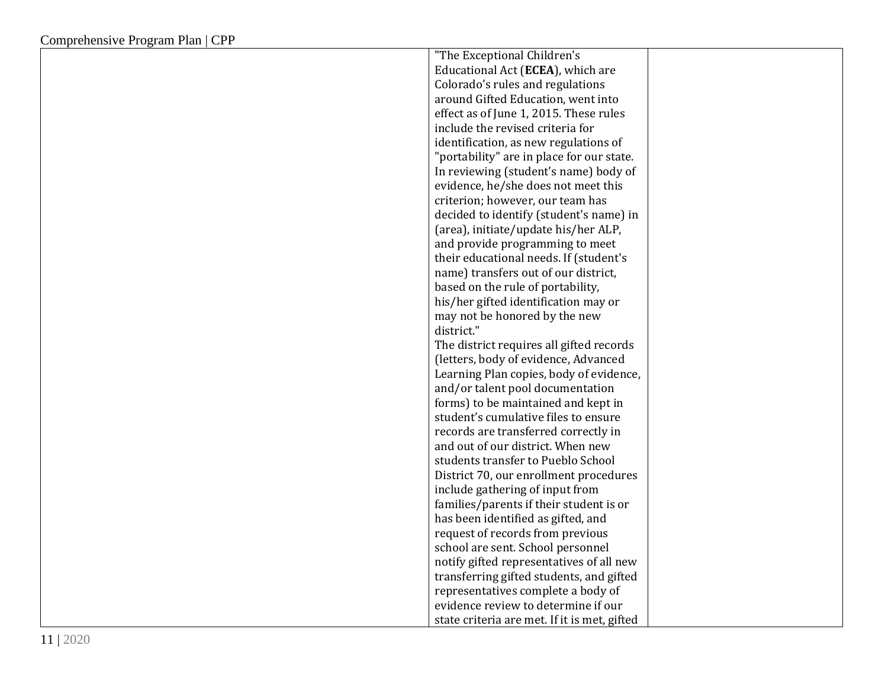| "The Exceptional Children's                  |  |
|----------------------------------------------|--|
| Educational Act (ECEA), which are            |  |
| Colorado's rules and regulations             |  |
| around Gifted Education, went into           |  |
| effect as of June 1, 2015. These rules       |  |
| include the revised criteria for             |  |
| identification, as new regulations of        |  |
| "portability" are in place for our state.    |  |
| In reviewing (student's name) body of        |  |
| evidence, he/she does not meet this          |  |
| criterion; however, our team has             |  |
| decided to identify (student's name) in      |  |
| (area), initiate/update his/her ALP,         |  |
| and provide programming to meet              |  |
| their educational needs. If (student's       |  |
| name) transfers out of our district,         |  |
| based on the rule of portability,            |  |
| his/her gifted identification may or         |  |
| may not be honored by the new                |  |
| district."                                   |  |
| The district requires all gifted records     |  |
| (letters, body of evidence, Advanced         |  |
| Learning Plan copies, body of evidence,      |  |
| and/or talent pool documentation             |  |
| forms) to be maintained and kept in          |  |
| student's cumulative files to ensure         |  |
| records are transferred correctly in         |  |
| and out of our district. When new            |  |
| students transfer to Pueblo School           |  |
| District 70, our enrollment procedures       |  |
| include gathering of input from              |  |
| families/parents if their student is or      |  |
| has been identified as gifted, and           |  |
| request of records from previous             |  |
| school are sent. School personnel            |  |
| notify gifted representatives of all new     |  |
| transferring gifted students, and gifted     |  |
| representatives complete a body of           |  |
| evidence review to determine if our          |  |
| state criteria are met. If it is met, gifted |  |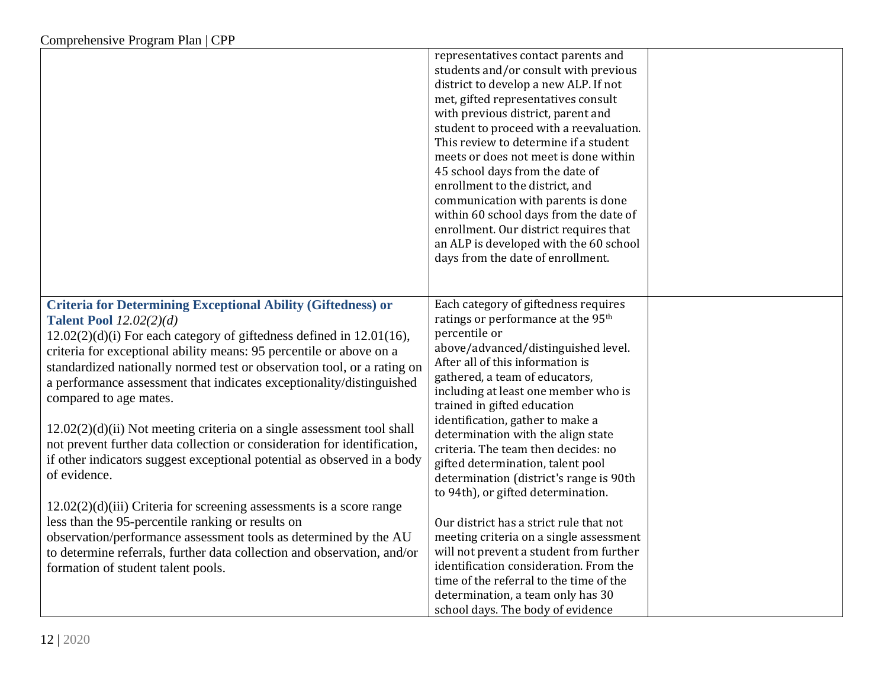|                                                                                                                                                                                                                                                      | representatives contact parents and<br>students and/or consult with previous<br>district to develop a new ALP. If not<br>met, gifted representatives consult<br>with previous district, parent and<br>student to proceed with a reevaluation.<br>This review to determine if a student<br>meets or does not meet is done within<br>45 school days from the date of<br>enrollment to the district, and<br>communication with parents is done<br>within 60 school days from the date of<br>enrollment. Our district requires that<br>an ALP is developed with the 60 school<br>days from the date of enrollment. |  |
|------------------------------------------------------------------------------------------------------------------------------------------------------------------------------------------------------------------------------------------------------|----------------------------------------------------------------------------------------------------------------------------------------------------------------------------------------------------------------------------------------------------------------------------------------------------------------------------------------------------------------------------------------------------------------------------------------------------------------------------------------------------------------------------------------------------------------------------------------------------------------|--|
| <b>Criteria for Determining Exceptional Ability (Giftedness) or</b><br>Talent Pool $12.02(2)(d)$<br>$12.02(2)(d)(i)$ For each category of giftedness defined in $12.01(16)$ ,<br>criteria for exceptional ability means: 95 percentile or above on a | Each category of giftedness requires<br>ratings or performance at the 95 <sup>th</sup><br>percentile or<br>above/advanced/distinguished level.                                                                                                                                                                                                                                                                                                                                                                                                                                                                 |  |
| standardized nationally normed test or observation tool, or a rating on<br>a performance assessment that indicates exceptionality/distinguished<br>compared to age mates.                                                                            | After all of this information is<br>gathered, a team of educators,<br>including at least one member who is<br>trained in gifted education                                                                                                                                                                                                                                                                                                                                                                                                                                                                      |  |
| $12.02(2)(d)(ii)$ Not meeting criteria on a single assessment tool shall<br>not prevent further data collection or consideration for identification,<br>if other indicators suggest exceptional potential as observed in a body<br>of evidence.      | identification, gather to make a<br>determination with the align state<br>criteria. The team then decides: no<br>gifted determination, talent pool<br>determination (district's range is 90th                                                                                                                                                                                                                                                                                                                                                                                                                  |  |
| $12.02(2)(d)(iii)$ Criteria for screening assessments is a score range<br>less than the 95-percentile ranking or results on<br>observation/performance assessment tools as determined by the AU                                                      | to 94th), or gifted determination.<br>Our district has a strict rule that not<br>meeting criteria on a single assessment                                                                                                                                                                                                                                                                                                                                                                                                                                                                                       |  |
| to determine referrals, further data collection and observation, and/or<br>formation of student talent pools.                                                                                                                                        | will not prevent a student from further<br>identification consideration. From the<br>time of the referral to the time of the<br>determination, a team only has 30<br>school days. The body of evidence                                                                                                                                                                                                                                                                                                                                                                                                         |  |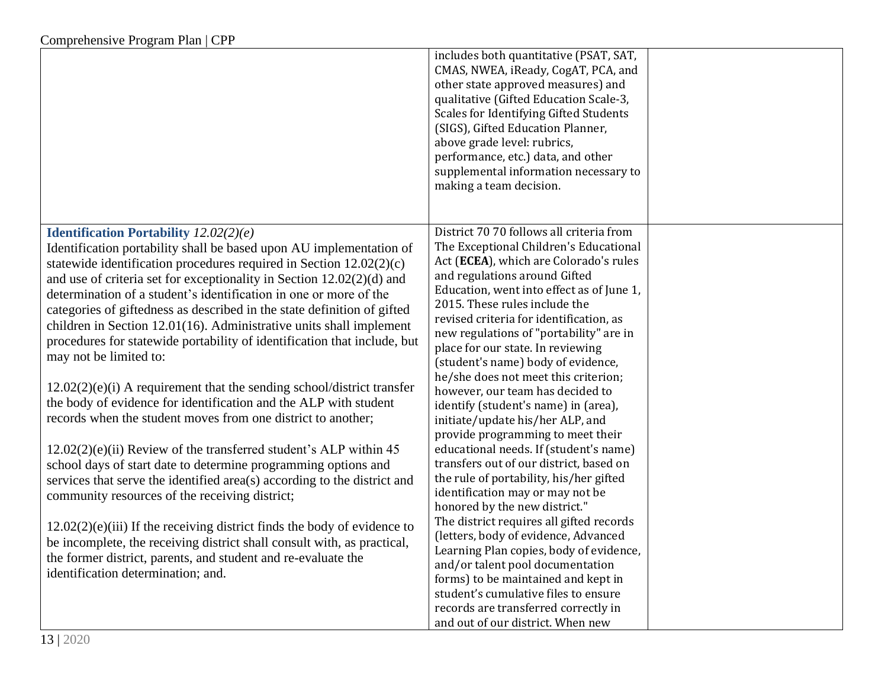|                                                                                                                                                                                                                                                                                                                                                                                                                                                                                                                                                                                                                                                                                                                                                                                                                                                                                                                                                                                                                                                                                                                                                                                                                                                                                                                                                                | includes both quantitative (PSAT, SAT,<br>CMAS, NWEA, iReady, CogAT, PCA, and<br>other state approved measures) and<br>qualitative (Gifted Education Scale-3,<br>Scales for Identifying Gifted Students<br>(SIGS), Gifted Education Planner,<br>above grade level: rubrics,<br>performance, etc.) data, and other<br>supplemental information necessary to<br>making a team decision.                                                                                                                                                                                                                                                                                                                                                                                                                                                                                                                                                                                                                                                                                                                                                         |  |
|----------------------------------------------------------------------------------------------------------------------------------------------------------------------------------------------------------------------------------------------------------------------------------------------------------------------------------------------------------------------------------------------------------------------------------------------------------------------------------------------------------------------------------------------------------------------------------------------------------------------------------------------------------------------------------------------------------------------------------------------------------------------------------------------------------------------------------------------------------------------------------------------------------------------------------------------------------------------------------------------------------------------------------------------------------------------------------------------------------------------------------------------------------------------------------------------------------------------------------------------------------------------------------------------------------------------------------------------------------------|-----------------------------------------------------------------------------------------------------------------------------------------------------------------------------------------------------------------------------------------------------------------------------------------------------------------------------------------------------------------------------------------------------------------------------------------------------------------------------------------------------------------------------------------------------------------------------------------------------------------------------------------------------------------------------------------------------------------------------------------------------------------------------------------------------------------------------------------------------------------------------------------------------------------------------------------------------------------------------------------------------------------------------------------------------------------------------------------------------------------------------------------------|--|
| <b>Identification Portability</b> $12.02(2)(e)$<br>Identification portability shall be based upon AU implementation of<br>statewide identification procedures required in Section $12.02(2)(c)$<br>and use of criteria set for exceptionality in Section $12.02(2)(d)$ and<br>determination of a student's identification in one or more of the<br>categories of giftedness as described in the state definition of gifted<br>children in Section 12.01(16). Administrative units shall implement<br>procedures for statewide portability of identification that include, but<br>may not be limited to:<br>$12.02(2)(e)(i)$ A requirement that the sending school/district transfer<br>the body of evidence for identification and the ALP with student<br>records when the student moves from one district to another;<br>$12.02(2)(e)(ii)$ Review of the transferred student's ALP within 45<br>school days of start date to determine programming options and<br>services that serve the identified area(s) according to the district and<br>community resources of the receiving district;<br>$12.02(2)(e)(iii)$ If the receiving district finds the body of evidence to<br>be incomplete, the receiving district shall consult with, as practical,<br>the former district, parents, and student and re-evaluate the<br>identification determination; and. | District 70 70 follows all criteria from<br>The Exceptional Children's Educational<br>Act (ECEA), which are Colorado's rules<br>and regulations around Gifted<br>Education, went into effect as of June 1,<br>2015. These rules include the<br>revised criteria for identification, as<br>new regulations of "portability" are in<br>place for our state. In reviewing<br>(student's name) body of evidence,<br>he/she does not meet this criterion;<br>however, our team has decided to<br>identify (student's name) in (area),<br>initiate/update his/her ALP, and<br>provide programming to meet their<br>educational needs. If (student's name)<br>transfers out of our district, based on<br>the rule of portability, his/her gifted<br>identification may or may not be<br>honored by the new district."<br>The district requires all gifted records<br>(letters, body of evidence, Advanced<br>Learning Plan copies, body of evidence,<br>and/or talent pool documentation<br>forms) to be maintained and kept in<br>student's cumulative files to ensure<br>records are transferred correctly in<br>and out of our district. When new |  |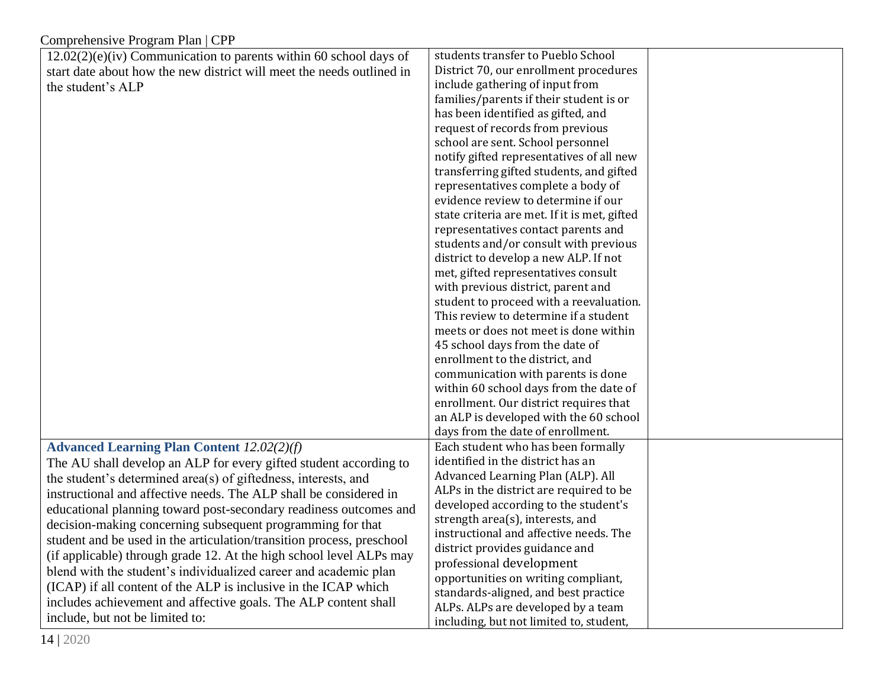| Comprehensive Program Plan   CPP                                                                                                                                                                                                                                                                                                                                                                                                                                                                           |                                                                                                                                                                                                                                                                                                                                                                                                                                                                                                                                                                                                                                                                                                                                                                                                                                                                                                                                                                                                                                                                                                                                                                                                                                                                                                                                                                                         |  |
|------------------------------------------------------------------------------------------------------------------------------------------------------------------------------------------------------------------------------------------------------------------------------------------------------------------------------------------------------------------------------------------------------------------------------------------------------------------------------------------------------------|-----------------------------------------------------------------------------------------------------------------------------------------------------------------------------------------------------------------------------------------------------------------------------------------------------------------------------------------------------------------------------------------------------------------------------------------------------------------------------------------------------------------------------------------------------------------------------------------------------------------------------------------------------------------------------------------------------------------------------------------------------------------------------------------------------------------------------------------------------------------------------------------------------------------------------------------------------------------------------------------------------------------------------------------------------------------------------------------------------------------------------------------------------------------------------------------------------------------------------------------------------------------------------------------------------------------------------------------------------------------------------------------|--|
| 12.02(2)(e)(iv) Communication to parents within 60 school days of                                                                                                                                                                                                                                                                                                                                                                                                                                          | students transfer to Pueblo School                                                                                                                                                                                                                                                                                                                                                                                                                                                                                                                                                                                                                                                                                                                                                                                                                                                                                                                                                                                                                                                                                                                                                                                                                                                                                                                                                      |  |
| start date about how the new district will meet the needs outlined in                                                                                                                                                                                                                                                                                                                                                                                                                                      | District 70, our enrollment procedures                                                                                                                                                                                                                                                                                                                                                                                                                                                                                                                                                                                                                                                                                                                                                                                                                                                                                                                                                                                                                                                                                                                                                                                                                                                                                                                                                  |  |
| the student's ALP                                                                                                                                                                                                                                                                                                                                                                                                                                                                                          | include gathering of input from                                                                                                                                                                                                                                                                                                                                                                                                                                                                                                                                                                                                                                                                                                                                                                                                                                                                                                                                                                                                                                                                                                                                                                                                                                                                                                                                                         |  |
|                                                                                                                                                                                                                                                                                                                                                                                                                                                                                                            | families/parents if their student is or                                                                                                                                                                                                                                                                                                                                                                                                                                                                                                                                                                                                                                                                                                                                                                                                                                                                                                                                                                                                                                                                                                                                                                                                                                                                                                                                                 |  |
|                                                                                                                                                                                                                                                                                                                                                                                                                                                                                                            | has been identified as gifted, and                                                                                                                                                                                                                                                                                                                                                                                                                                                                                                                                                                                                                                                                                                                                                                                                                                                                                                                                                                                                                                                                                                                                                                                                                                                                                                                                                      |  |
|                                                                                                                                                                                                                                                                                                                                                                                                                                                                                                            | request of records from previous                                                                                                                                                                                                                                                                                                                                                                                                                                                                                                                                                                                                                                                                                                                                                                                                                                                                                                                                                                                                                                                                                                                                                                                                                                                                                                                                                        |  |
|                                                                                                                                                                                                                                                                                                                                                                                                                                                                                                            |                                                                                                                                                                                                                                                                                                                                                                                                                                                                                                                                                                                                                                                                                                                                                                                                                                                                                                                                                                                                                                                                                                                                                                                                                                                                                                                                                                                         |  |
|                                                                                                                                                                                                                                                                                                                                                                                                                                                                                                            |                                                                                                                                                                                                                                                                                                                                                                                                                                                                                                                                                                                                                                                                                                                                                                                                                                                                                                                                                                                                                                                                                                                                                                                                                                                                                                                                                                                         |  |
|                                                                                                                                                                                                                                                                                                                                                                                                                                                                                                            |                                                                                                                                                                                                                                                                                                                                                                                                                                                                                                                                                                                                                                                                                                                                                                                                                                                                                                                                                                                                                                                                                                                                                                                                                                                                                                                                                                                         |  |
|                                                                                                                                                                                                                                                                                                                                                                                                                                                                                                            |                                                                                                                                                                                                                                                                                                                                                                                                                                                                                                                                                                                                                                                                                                                                                                                                                                                                                                                                                                                                                                                                                                                                                                                                                                                                                                                                                                                         |  |
|                                                                                                                                                                                                                                                                                                                                                                                                                                                                                                            |                                                                                                                                                                                                                                                                                                                                                                                                                                                                                                                                                                                                                                                                                                                                                                                                                                                                                                                                                                                                                                                                                                                                                                                                                                                                                                                                                                                         |  |
|                                                                                                                                                                                                                                                                                                                                                                                                                                                                                                            |                                                                                                                                                                                                                                                                                                                                                                                                                                                                                                                                                                                                                                                                                                                                                                                                                                                                                                                                                                                                                                                                                                                                                                                                                                                                                                                                                                                         |  |
|                                                                                                                                                                                                                                                                                                                                                                                                                                                                                                            |                                                                                                                                                                                                                                                                                                                                                                                                                                                                                                                                                                                                                                                                                                                                                                                                                                                                                                                                                                                                                                                                                                                                                                                                                                                                                                                                                                                         |  |
|                                                                                                                                                                                                                                                                                                                                                                                                                                                                                                            |                                                                                                                                                                                                                                                                                                                                                                                                                                                                                                                                                                                                                                                                                                                                                                                                                                                                                                                                                                                                                                                                                                                                                                                                                                                                                                                                                                                         |  |
|                                                                                                                                                                                                                                                                                                                                                                                                                                                                                                            |                                                                                                                                                                                                                                                                                                                                                                                                                                                                                                                                                                                                                                                                                                                                                                                                                                                                                                                                                                                                                                                                                                                                                                                                                                                                                                                                                                                         |  |
|                                                                                                                                                                                                                                                                                                                                                                                                                                                                                                            |                                                                                                                                                                                                                                                                                                                                                                                                                                                                                                                                                                                                                                                                                                                                                                                                                                                                                                                                                                                                                                                                                                                                                                                                                                                                                                                                                                                         |  |
|                                                                                                                                                                                                                                                                                                                                                                                                                                                                                                            |                                                                                                                                                                                                                                                                                                                                                                                                                                                                                                                                                                                                                                                                                                                                                                                                                                                                                                                                                                                                                                                                                                                                                                                                                                                                                                                                                                                         |  |
|                                                                                                                                                                                                                                                                                                                                                                                                                                                                                                            |                                                                                                                                                                                                                                                                                                                                                                                                                                                                                                                                                                                                                                                                                                                                                                                                                                                                                                                                                                                                                                                                                                                                                                                                                                                                                                                                                                                         |  |
|                                                                                                                                                                                                                                                                                                                                                                                                                                                                                                            |                                                                                                                                                                                                                                                                                                                                                                                                                                                                                                                                                                                                                                                                                                                                                                                                                                                                                                                                                                                                                                                                                                                                                                                                                                                                                                                                                                                         |  |
|                                                                                                                                                                                                                                                                                                                                                                                                                                                                                                            |                                                                                                                                                                                                                                                                                                                                                                                                                                                                                                                                                                                                                                                                                                                                                                                                                                                                                                                                                                                                                                                                                                                                                                                                                                                                                                                                                                                         |  |
|                                                                                                                                                                                                                                                                                                                                                                                                                                                                                                            |                                                                                                                                                                                                                                                                                                                                                                                                                                                                                                                                                                                                                                                                                                                                                                                                                                                                                                                                                                                                                                                                                                                                                                                                                                                                                                                                                                                         |  |
|                                                                                                                                                                                                                                                                                                                                                                                                                                                                                                            |                                                                                                                                                                                                                                                                                                                                                                                                                                                                                                                                                                                                                                                                                                                                                                                                                                                                                                                                                                                                                                                                                                                                                                                                                                                                                                                                                                                         |  |
|                                                                                                                                                                                                                                                                                                                                                                                                                                                                                                            |                                                                                                                                                                                                                                                                                                                                                                                                                                                                                                                                                                                                                                                                                                                                                                                                                                                                                                                                                                                                                                                                                                                                                                                                                                                                                                                                                                                         |  |
|                                                                                                                                                                                                                                                                                                                                                                                                                                                                                                            |                                                                                                                                                                                                                                                                                                                                                                                                                                                                                                                                                                                                                                                                                                                                                                                                                                                                                                                                                                                                                                                                                                                                                                                                                                                                                                                                                                                         |  |
|                                                                                                                                                                                                                                                                                                                                                                                                                                                                                                            |                                                                                                                                                                                                                                                                                                                                                                                                                                                                                                                                                                                                                                                                                                                                                                                                                                                                                                                                                                                                                                                                                                                                                                                                                                                                                                                                                                                         |  |
|                                                                                                                                                                                                                                                                                                                                                                                                                                                                                                            |                                                                                                                                                                                                                                                                                                                                                                                                                                                                                                                                                                                                                                                                                                                                                                                                                                                                                                                                                                                                                                                                                                                                                                                                                                                                                                                                                                                         |  |
|                                                                                                                                                                                                                                                                                                                                                                                                                                                                                                            |                                                                                                                                                                                                                                                                                                                                                                                                                                                                                                                                                                                                                                                                                                                                                                                                                                                                                                                                                                                                                                                                                                                                                                                                                                                                                                                                                                                         |  |
|                                                                                                                                                                                                                                                                                                                                                                                                                                                                                                            |                                                                                                                                                                                                                                                                                                                                                                                                                                                                                                                                                                                                                                                                                                                                                                                                                                                                                                                                                                                                                                                                                                                                                                                                                                                                                                                                                                                         |  |
|                                                                                                                                                                                                                                                                                                                                                                                                                                                                                                            |                                                                                                                                                                                                                                                                                                                                                                                                                                                                                                                                                                                                                                                                                                                                                                                                                                                                                                                                                                                                                                                                                                                                                                                                                                                                                                                                                                                         |  |
|                                                                                                                                                                                                                                                                                                                                                                                                                                                                                                            |                                                                                                                                                                                                                                                                                                                                                                                                                                                                                                                                                                                                                                                                                                                                                                                                                                                                                                                                                                                                                                                                                                                                                                                                                                                                                                                                                                                         |  |
|                                                                                                                                                                                                                                                                                                                                                                                                                                                                                                            |                                                                                                                                                                                                                                                                                                                                                                                                                                                                                                                                                                                                                                                                                                                                                                                                                                                                                                                                                                                                                                                                                                                                                                                                                                                                                                                                                                                         |  |
| educational planning toward post-secondary readiness outcomes and                                                                                                                                                                                                                                                                                                                                                                                                                                          |                                                                                                                                                                                                                                                                                                                                                                                                                                                                                                                                                                                                                                                                                                                                                                                                                                                                                                                                                                                                                                                                                                                                                                                                                                                                                                                                                                                         |  |
| decision-making concerning subsequent programming for that                                                                                                                                                                                                                                                                                                                                                                                                                                                 |                                                                                                                                                                                                                                                                                                                                                                                                                                                                                                                                                                                                                                                                                                                                                                                                                                                                                                                                                                                                                                                                                                                                                                                                                                                                                                                                                                                         |  |
| student and be used in the articulation/transition process, preschool                                                                                                                                                                                                                                                                                                                                                                                                                                      |                                                                                                                                                                                                                                                                                                                                                                                                                                                                                                                                                                                                                                                                                                                                                                                                                                                                                                                                                                                                                                                                                                                                                                                                                                                                                                                                                                                         |  |
| (if applicable) through grade 12. At the high school level ALPs may                                                                                                                                                                                                                                                                                                                                                                                                                                        |                                                                                                                                                                                                                                                                                                                                                                                                                                                                                                                                                                                                                                                                                                                                                                                                                                                                                                                                                                                                                                                                                                                                                                                                                                                                                                                                                                                         |  |
|                                                                                                                                                                                                                                                                                                                                                                                                                                                                                                            |                                                                                                                                                                                                                                                                                                                                                                                                                                                                                                                                                                                                                                                                                                                                                                                                                                                                                                                                                                                                                                                                                                                                                                                                                                                                                                                                                                                         |  |
|                                                                                                                                                                                                                                                                                                                                                                                                                                                                                                            |                                                                                                                                                                                                                                                                                                                                                                                                                                                                                                                                                                                                                                                                                                                                                                                                                                                                                                                                                                                                                                                                                                                                                                                                                                                                                                                                                                                         |  |
|                                                                                                                                                                                                                                                                                                                                                                                                                                                                                                            |                                                                                                                                                                                                                                                                                                                                                                                                                                                                                                                                                                                                                                                                                                                                                                                                                                                                                                                                                                                                                                                                                                                                                                                                                                                                                                                                                                                         |  |
|                                                                                                                                                                                                                                                                                                                                                                                                                                                                                                            |                                                                                                                                                                                                                                                                                                                                                                                                                                                                                                                                                                                                                                                                                                                                                                                                                                                                                                                                                                                                                                                                                                                                                                                                                                                                                                                                                                                         |  |
| <b>Advanced Learning Plan Content 12.02(2)(f)</b><br>The AU shall develop an ALP for every gifted student according to<br>the student's determined area(s) of giftedness, interests, and<br>instructional and affective needs. The ALP shall be considered in<br>blend with the student's individualized career and academic plan<br>(ICAP) if all content of the ALP is inclusive in the ICAP which<br>includes achievement and affective goals. The ALP content shall<br>include, but not be limited to: | school are sent. School personnel<br>notify gifted representatives of all new<br>transferring gifted students, and gifted<br>representatives complete a body of<br>evidence review to determine if our<br>state criteria are met. If it is met, gifted<br>representatives contact parents and<br>students and/or consult with previous<br>district to develop a new ALP. If not<br>met, gifted representatives consult<br>with previous district, parent and<br>student to proceed with a reevaluation.<br>This review to determine if a student<br>meets or does not meet is done within<br>45 school days from the date of<br>enrollment to the district, and<br>communication with parents is done<br>within 60 school days from the date of<br>enrollment. Our district requires that<br>an ALP is developed with the 60 school<br>days from the date of enrollment.<br>Each student who has been formally<br>identified in the district has an<br>Advanced Learning Plan (ALP). All<br>ALPs in the district are required to be<br>developed according to the student's<br>strength area(s), interests, and<br>instructional and affective needs. The<br>district provides guidance and<br>professional development<br>opportunities on writing compliant,<br>standards-aligned, and best practice<br>ALPs. ALPs are developed by a team<br>including, but not limited to, student, |  |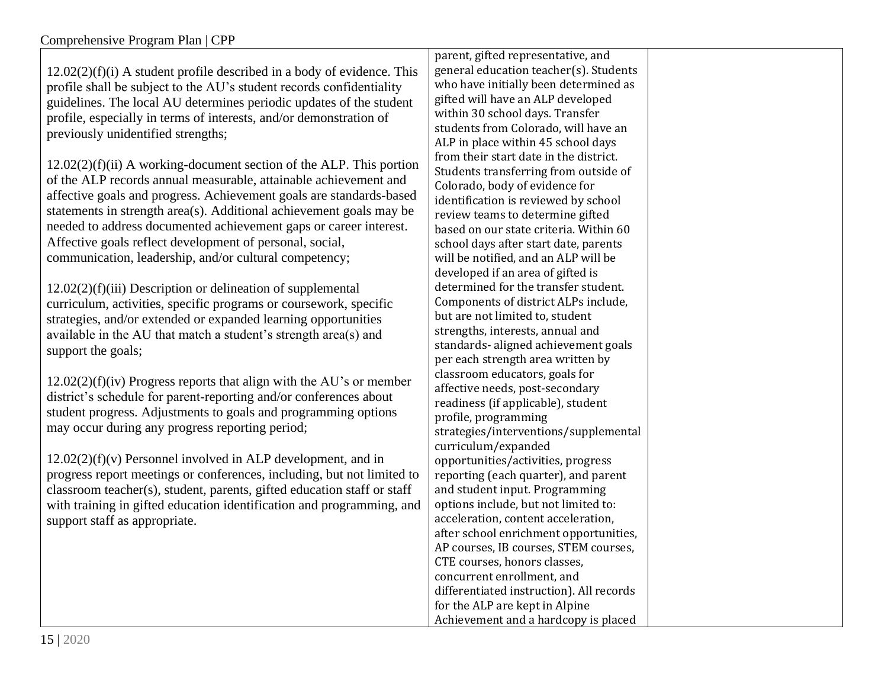$12.02(2)(f)(i)$  A student profile described in a body of evidence. This profile shall be subject to the AU's student records confidentiality guidelines. The local AU determines periodic updates of the student profile, especially in terms of interests, and/or demonstration of previously unidentified strengths;

12.02(2)(f)(ii) A working-document section of the ALP. This portion of the ALP records annual measurable, attainable achievement and affective goals and progress. Achievement goals are standards-based statements in strength area(s). Additional achievement goals may be needed to address documented achievement gaps or career interest. Affective goals reflect development of personal, social, communication, leadership, and/or cultural competency;

12.02(2)(f)(iii) Description or delineation of supplemental curriculum, activities, specific programs or coursework, specific strategies, and/or extended or expanded learning opportunities available in the AU that match a student's strength area(s) and support the goals;

 $12.02(2)(f)(iv)$  Progress reports that align with the AU's or member district's schedule for parent-reporting and/or conferences about student progress. Adjustments to goals and programming options may occur during any progress reporting period;

12.02(2)(f)(v) Personnel involved in ALP development, and in progress report meetings or conferences, including, but not limited to classroom teacher(s), student, parents, gifted education staff or staff with training in gifted education identification and programming, and support staff as appropriate.

parent, gifted representative, and general education teacher(s). Students who have initially been determined as gifted will have an ALP developed within 30 school days. Transfer students from Colorado, will have an ALP in place within 45 school days from their start date in the district. Students transferring from outside of Colorado, body of evidence for identification is reviewed by school review teams to determine gifted based on our state criteria. Within 60 school days after start date, parents will be notified, and an ALP will be developed if an area of gifted is determined for the transfer student. Components of district ALPs include, but are not limited to, student strengths, interests, annual and standards- aligned achievement goals per each strength area written by classroom educators, goals for affective needs, post-secondary readiness (if applicable), student profile, programming strategies/interventions/supplemental curriculum/expanded opportunities/activities, progress reporting (each quarter), and parent and student input. Programming options include, but not limited to: acceleration, content acceleration, after school enrichment opportunities, AP courses, IB courses, STEM courses, CTE courses, honors classes, concurrent enrollment, and differentiated instruction). All records for the ALP are kept in Alpine Achievement and a hardcopy is placed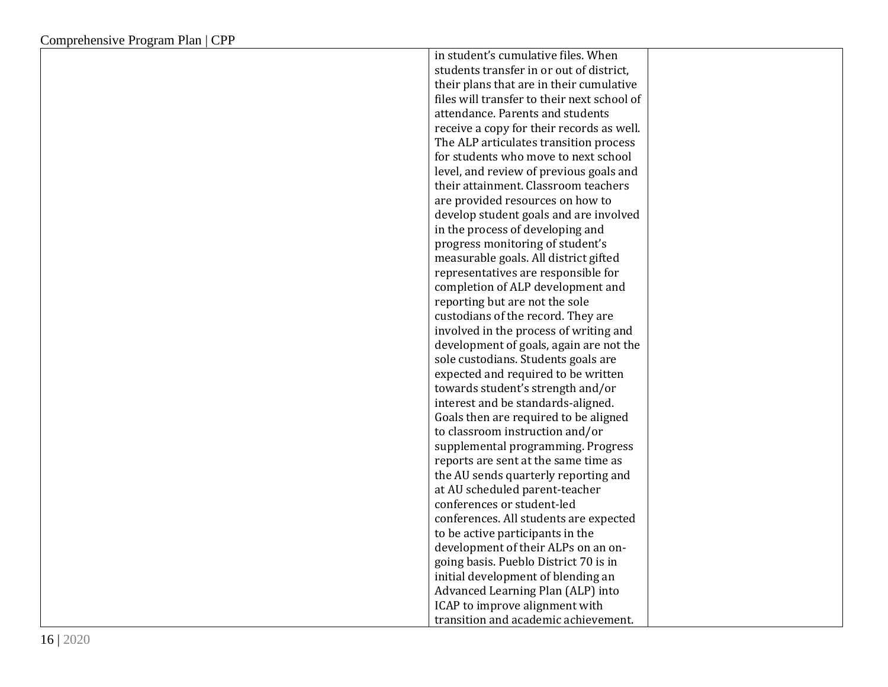| in student's cumulative files. When         |  |
|---------------------------------------------|--|
| students transfer in or out of district,    |  |
| their plans that are in their cumulative    |  |
| files will transfer to their next school of |  |
| attendance. Parents and students            |  |
| receive a copy for their records as well.   |  |
| The ALP articulates transition process      |  |
| for students who move to next school        |  |
| level, and review of previous goals and     |  |
| their attainment. Classroom teachers        |  |
| are provided resources on how to            |  |
| develop student goals and are involved      |  |
| in the process of developing and            |  |
| progress monitoring of student's            |  |
| measurable goals. All district gifted       |  |
| representatives are responsible for         |  |
| completion of ALP development and           |  |
| reporting but are not the sole              |  |
| custodians of the record. They are          |  |
| involved in the process of writing and      |  |
| development of goals, again are not the     |  |
| sole custodians. Students goals are         |  |
| expected and required to be written         |  |
| towards student's strength and/or           |  |
| interest and be standards-aligned.          |  |
| Goals then are required to be aligned       |  |
| to classroom instruction and/or             |  |
| supplemental programming. Progress          |  |
| reports are sent at the same time as        |  |
| the AU sends quarterly reporting and        |  |
| at AU scheduled parent-teacher              |  |
| conferences or student-led                  |  |
| conferences. All students are expected      |  |
| to be active participants in the            |  |
| development of their ALPs on an on-         |  |
| going basis. Pueblo District 70 is in       |  |
| initial development of blending an          |  |
| Advanced Learning Plan (ALP) into           |  |
| ICAP to improve alignment with              |  |
| transition and academic achievement.        |  |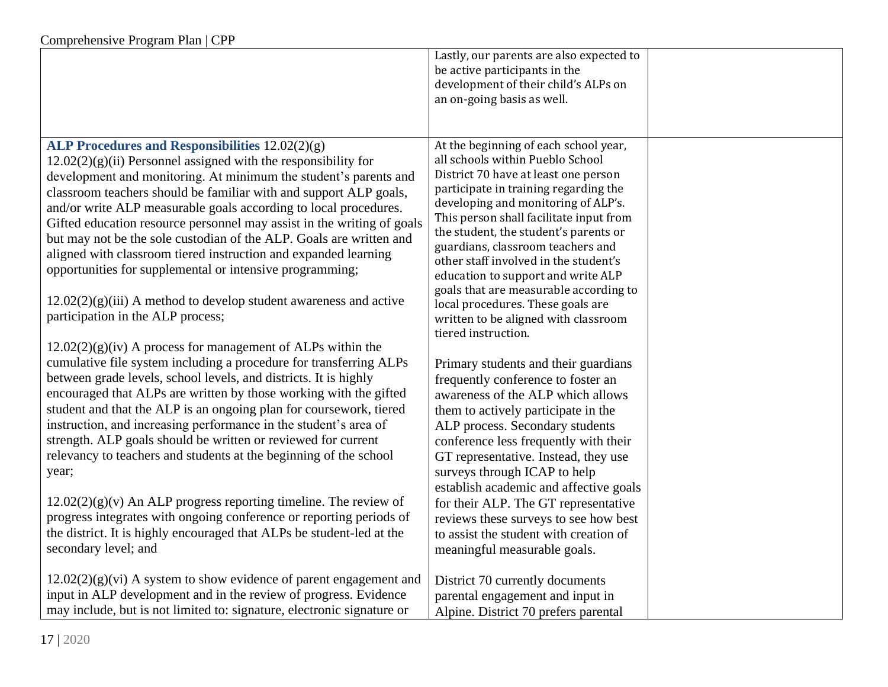|                                                                                                                                                                                                                                                                                                                                                                                                                                                                                                                                                                                                                                                                                                                                                                                                                     | Lastly, our parents are also expected to<br>be active participants in the<br>development of their child's ALPs on<br>an on-going basis as well.                                                                                                                                                                                                                                                                                                                                                                                        |  |
|---------------------------------------------------------------------------------------------------------------------------------------------------------------------------------------------------------------------------------------------------------------------------------------------------------------------------------------------------------------------------------------------------------------------------------------------------------------------------------------------------------------------------------------------------------------------------------------------------------------------------------------------------------------------------------------------------------------------------------------------------------------------------------------------------------------------|----------------------------------------------------------------------------------------------------------------------------------------------------------------------------------------------------------------------------------------------------------------------------------------------------------------------------------------------------------------------------------------------------------------------------------------------------------------------------------------------------------------------------------------|--|
| ALP Procedures and Responsibilities 12.02(2)(g)<br>$12.02(2)(g)(ii)$ Personnel assigned with the responsibility for<br>development and monitoring. At minimum the student's parents and<br>classroom teachers should be familiar with and support ALP goals,<br>and/or write ALP measurable goals according to local procedures.<br>Gifted education resource personnel may assist in the writing of goals<br>but may not be the sole custodian of the ALP. Goals are written and<br>aligned with classroom tiered instruction and expanded learning<br>opportunities for supplemental or intensive programming;<br>$12.02(2)(g)(iii)$ A method to develop student awareness and active<br>participation in the ALP process;                                                                                        | At the beginning of each school year,<br>all schools within Pueblo School<br>District 70 have at least one person<br>participate in training regarding the<br>developing and monitoring of ALP's.<br>This person shall facilitate input from<br>the student, the student's parents or<br>guardians, classroom teachers and<br>other staff involved in the student's<br>education to support and write ALP<br>goals that are measurable according to<br>local procedures. These goals are<br>written to be aligned with classroom       |  |
| $12.02(2)(g)(iv)$ A process for management of ALPs within the<br>cumulative file system including a procedure for transferring ALPs<br>between grade levels, school levels, and districts. It is highly<br>encouraged that ALPs are written by those working with the gifted<br>student and that the ALP is an ongoing plan for coursework, tiered<br>instruction, and increasing performance in the student's area of<br>strength. ALP goals should be written or reviewed for current<br>relevancy to teachers and students at the beginning of the school<br>year;<br>$12.02(2)(g)(v)$ An ALP progress reporting timeline. The review of<br>progress integrates with ongoing conference or reporting periods of<br>the district. It is highly encouraged that ALPs be student-led at the<br>secondary level; and | tiered instruction.<br>Primary students and their guardians<br>frequently conference to foster an<br>awareness of the ALP which allows<br>them to actively participate in the<br>ALP process. Secondary students<br>conference less frequently with their<br>GT representative. Instead, they use<br>surveys through ICAP to help<br>establish academic and affective goals<br>for their ALP. The GT representative<br>reviews these surveys to see how best<br>to assist the student with creation of<br>meaningful measurable goals. |  |
| $12.02(2)(g)(vi)$ A system to show evidence of parent engagement and<br>input in ALP development and in the review of progress. Evidence<br>may include, but is not limited to: signature, electronic signature or                                                                                                                                                                                                                                                                                                                                                                                                                                                                                                                                                                                                  | District 70 currently documents<br>parental engagement and input in<br>Alpine. District 70 prefers parental                                                                                                                                                                                                                                                                                                                                                                                                                            |  |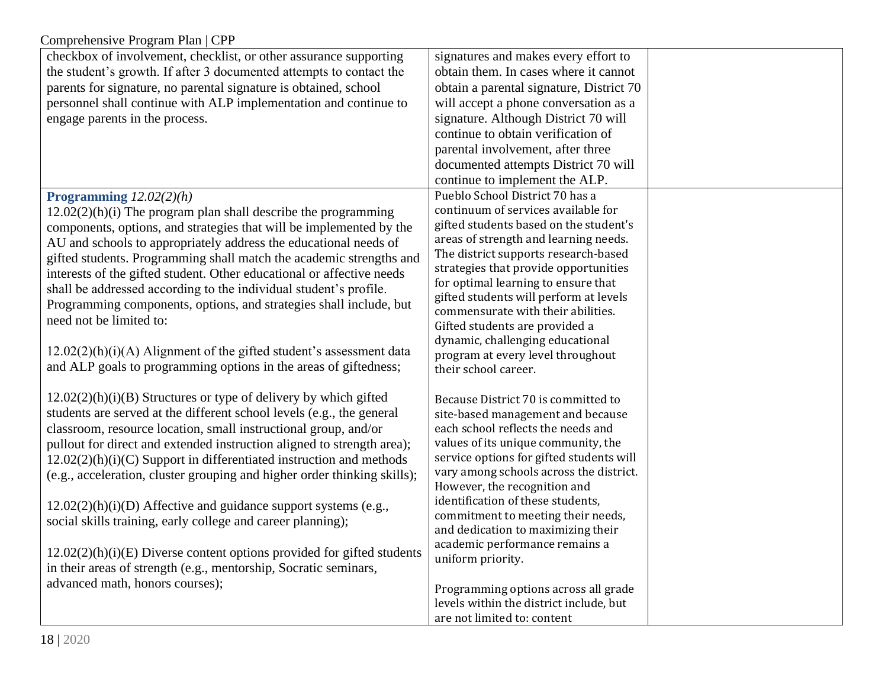| Comprehensive Program Plan   CPP                                         |                                                                              |  |
|--------------------------------------------------------------------------|------------------------------------------------------------------------------|--|
| checkbox of involvement, checklist, or other assurance supporting        | signatures and makes every effort to                                         |  |
| the student's growth. If after 3 documented attempts to contact the      | obtain them. In cases where it cannot                                        |  |
| parents for signature, no parental signature is obtained, school         | obtain a parental signature, District 70                                     |  |
| personnel shall continue with ALP implementation and continue to         | will accept a phone conversation as a                                        |  |
| engage parents in the process.                                           | signature. Although District 70 will                                         |  |
|                                                                          | continue to obtain verification of                                           |  |
|                                                                          | parental involvement, after three                                            |  |
|                                                                          | documented attempts District 70 will                                         |  |
|                                                                          | continue to implement the ALP.                                               |  |
| Programming $12.02(2)(h)$                                                | Pueblo School District 70 has a                                              |  |
| $12.02(2)(h)(i)$ The program plan shall describe the programming         | continuum of services available for                                          |  |
| components, options, and strategies that will be implemented by the      | gifted students based on the student's                                       |  |
| AU and schools to appropriately address the educational needs of         | areas of strength and learning needs.                                        |  |
| gifted students. Programming shall match the academic strengths and      | The district supports research-based                                         |  |
| interests of the gifted student. Other educational or affective needs    | strategies that provide opportunities<br>for optimal learning to ensure that |  |
| shall be addressed according to the individual student's profile.        | gifted students will perform at levels                                       |  |
| Programming components, options, and strategies shall include, but       | commensurate with their abilities.                                           |  |
| need not be limited to:                                                  | Gifted students are provided a                                               |  |
|                                                                          | dynamic, challenging educational                                             |  |
| $12.02(2)(h)(i)(A)$ Alignment of the gifted student's assessment data    | program at every level throughout                                            |  |
| and ALP goals to programming options in the areas of giftedness;         | their school career.                                                         |  |
|                                                                          |                                                                              |  |
| $12.02(2)(h)(i)(B)$ Structures or type of delivery by which gifted       | Because District 70 is committed to                                          |  |
| students are served at the different school levels (e.g., the general    | site-based management and because                                            |  |
| classroom, resource location, small instructional group, and/or          | each school reflects the needs and                                           |  |
| pullout for direct and extended instruction aligned to strength area);   | values of its unique community, the                                          |  |
| 12.02(2)(h)(i)(C) Support in differentiated instruction and methods      | service options for gifted students will                                     |  |
| (e.g., acceleration, cluster grouping and higher order thinking skills); | vary among schools across the district.                                      |  |
|                                                                          | However, the recognition and<br>identification of these students,            |  |
| $12.02(2)(h)(i)(D)$ Affective and guidance support systems (e.g.,        | commitment to meeting their needs,                                           |  |
| social skills training, early college and career planning);              | and dedication to maximizing their                                           |  |
|                                                                          | academic performance remains a                                               |  |
| $12.02(2)(h)(i)(E)$ Diverse content options provided for gifted students | uniform priority.                                                            |  |
| in their areas of strength (e.g., mentorship, Socratic seminars,         |                                                                              |  |
| advanced math, honors courses);                                          | Programming options across all grade                                         |  |
|                                                                          | levels within the district include, but                                      |  |
|                                                                          | are not limited to: content                                                  |  |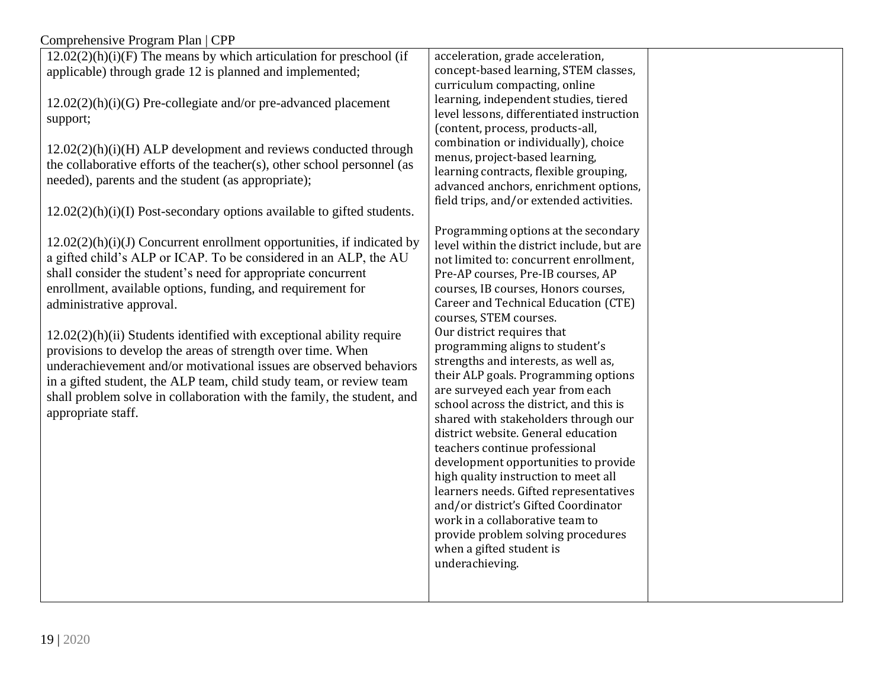| Comprehensive Program Plan   CPP                                                                                                                                                                                                                                                                                                                                                                                                                                                                                                                                                                                                                                                              |                                                                                                                                                                                                                                                                                                                                                                                                                                                                                                                                                                                                                                                                                                                                                                                                                                                                                                                         |  |
|-----------------------------------------------------------------------------------------------------------------------------------------------------------------------------------------------------------------------------------------------------------------------------------------------------------------------------------------------------------------------------------------------------------------------------------------------------------------------------------------------------------------------------------------------------------------------------------------------------------------------------------------------------------------------------------------------|-------------------------------------------------------------------------------------------------------------------------------------------------------------------------------------------------------------------------------------------------------------------------------------------------------------------------------------------------------------------------------------------------------------------------------------------------------------------------------------------------------------------------------------------------------------------------------------------------------------------------------------------------------------------------------------------------------------------------------------------------------------------------------------------------------------------------------------------------------------------------------------------------------------------------|--|
| $12.02(2)(h)(i)(F)$ The means by which articulation for preschool (if                                                                                                                                                                                                                                                                                                                                                                                                                                                                                                                                                                                                                         | acceleration, grade acceleration,                                                                                                                                                                                                                                                                                                                                                                                                                                                                                                                                                                                                                                                                                                                                                                                                                                                                                       |  |
| applicable) through grade 12 is planned and implemented;                                                                                                                                                                                                                                                                                                                                                                                                                                                                                                                                                                                                                                      | concept-based learning, STEM classes,                                                                                                                                                                                                                                                                                                                                                                                                                                                                                                                                                                                                                                                                                                                                                                                                                                                                                   |  |
| $12.02(2)(h)(i)(G)$ Pre-collegiate and/or pre-advanced placement<br>support;                                                                                                                                                                                                                                                                                                                                                                                                                                                                                                                                                                                                                  | curriculum compacting, online<br>learning, independent studies, tiered<br>level lessons, differentiated instruction<br>(content, process, products-all,                                                                                                                                                                                                                                                                                                                                                                                                                                                                                                                                                                                                                                                                                                                                                                 |  |
| $12.02(2)(h)(i)(H)$ ALP development and reviews conducted through<br>the collaborative efforts of the teacher(s), other school personnel (as<br>needed), parents and the student (as appropriate);                                                                                                                                                                                                                                                                                                                                                                                                                                                                                            | combination or individually), choice<br>menus, project-based learning,<br>learning contracts, flexible grouping,<br>advanced anchors, enrichment options,                                                                                                                                                                                                                                                                                                                                                                                                                                                                                                                                                                                                                                                                                                                                                               |  |
| $12.02(2)(h)(i)(I)$ Post-secondary options available to gifted students.                                                                                                                                                                                                                                                                                                                                                                                                                                                                                                                                                                                                                      | field trips, and/or extended activities.                                                                                                                                                                                                                                                                                                                                                                                                                                                                                                                                                                                                                                                                                                                                                                                                                                                                                |  |
| $12.02(2)(h)(i)(J)$ Concurrent enrollment opportunities, if indicated by<br>a gifted child's ALP or ICAP. To be considered in an ALP, the AU<br>shall consider the student's need for appropriate concurrent<br>enrollment, available options, funding, and requirement for<br>administrative approval.<br>$12.02(2)(h)(ii)$ Students identified with exceptional ability require<br>provisions to develop the areas of strength over time. When<br>underachievement and/or motivational issues are observed behaviors<br>in a gifted student, the ALP team, child study team, or review team<br>shall problem solve in collaboration with the family, the student, and<br>appropriate staff. | Programming options at the secondary<br>level within the district include, but are<br>not limited to: concurrent enrollment,<br>Pre-AP courses, Pre-IB courses, AP<br>courses, IB courses, Honors courses,<br>Career and Technical Education (CTE)<br>courses, STEM courses.<br>Our district requires that<br>programming aligns to student's<br>strengths and interests, as well as,<br>their ALP goals. Programming options<br>are surveyed each year from each<br>school across the district, and this is<br>shared with stakeholders through our<br>district website. General education<br>teachers continue professional<br>development opportunities to provide<br>high quality instruction to meet all<br>learners needs. Gifted representatives<br>and/or district's Gifted Coordinator<br>work in a collaborative team to<br>provide problem solving procedures<br>when a gifted student is<br>underachieving. |  |
|                                                                                                                                                                                                                                                                                                                                                                                                                                                                                                                                                                                                                                                                                               |                                                                                                                                                                                                                                                                                                                                                                                                                                                                                                                                                                                                                                                                                                                                                                                                                                                                                                                         |  |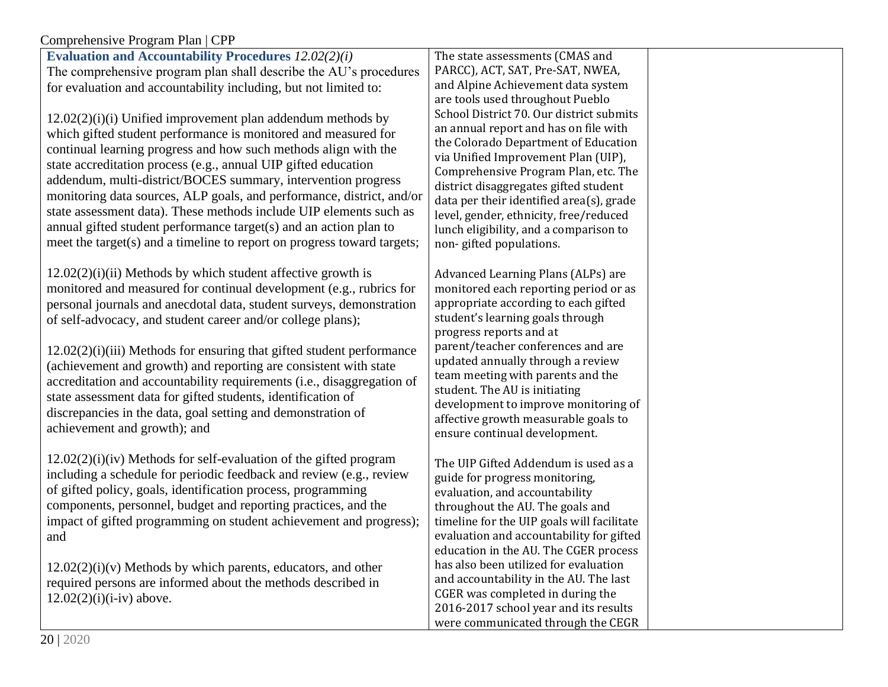| Comprehensive Program Plan   CPP                                                                                                            |                                                                                        |
|---------------------------------------------------------------------------------------------------------------------------------------------|----------------------------------------------------------------------------------------|
| Evaluation and Accountability Procedures $12.02(2)(i)$                                                                                      | The state assessments (CMAS and                                                        |
| The comprehensive program plan shall describe the AU's procedures                                                                           | PARCC), ACT, SAT, Pre-SAT, NWEA,                                                       |
| for evaluation and accountability including, but not limited to:                                                                            | and Alpine Achievement data system                                                     |
|                                                                                                                                             | are tools used throughout Pueblo<br>School District 70. Our district submits           |
| $12.02(2)(i)(i)$ Unified improvement plan addendum methods by                                                                               | an annual report and has on file with                                                  |
| which gifted student performance is monitored and measured for                                                                              | the Colorado Department of Education                                                   |
| continual learning progress and how such methods align with the                                                                             | via Unified Improvement Plan (UIP),                                                    |
| state accreditation process (e.g., annual UIP gifted education                                                                              | Comprehensive Program Plan, etc. The                                                   |
| addendum, multi-district/BOCES summary, intervention progress                                                                               | district disaggregates gifted student                                                  |
| monitoring data sources, ALP goals, and performance, district, and/or<br>state assessment data). These methods include UIP elements such as | data per their identified area(s), grade                                               |
| annual gifted student performance target(s) and an action plan to                                                                           | level, gender, ethnicity, free/reduced                                                 |
| meet the target(s) and a timeline to report on progress toward targets;                                                                     | lunch eligibility, and a comparison to                                                 |
|                                                                                                                                             | non-gifted populations.                                                                |
| $12.02(2)(i)(ii)$ Methods by which student affective growth is                                                                              | Advanced Learning Plans (ALPs) are                                                     |
| monitored and measured for continual development (e.g., rubrics for                                                                         | monitored each reporting period or as                                                  |
| personal journals and anecdotal data, student surveys, demonstration                                                                        | appropriate according to each gifted                                                   |
| of self-advocacy, and student career and/or college plans);                                                                                 | student's learning goals through                                                       |
|                                                                                                                                             | progress reports and at                                                                |
| $12.02(2)(i)(iii)$ Methods for ensuring that gifted student performance                                                                     | parent/teacher conferences and are                                                     |
| (achievement and growth) and reporting are consistent with state                                                                            | updated annually through a review                                                      |
| accreditation and accountability requirements (i.e., disaggregation of                                                                      | team meeting with parents and the<br>student. The AU is initiating                     |
| state assessment data for gifted students, identification of                                                                                | development to improve monitoring of                                                   |
| discrepancies in the data, goal setting and demonstration of                                                                                | affective growth measurable goals to                                                   |
| achievement and growth); and                                                                                                                | ensure continual development.                                                          |
|                                                                                                                                             |                                                                                        |
| $12.02(2)(i)(iv)$ Methods for self-evaluation of the gifted program                                                                         | The UIP Gifted Addendum is used as a                                                   |
| including a schedule for periodic feedback and review (e.g., review                                                                         | guide for progress monitoring,                                                         |
| of gifted policy, goals, identification process, programming                                                                                | evaluation, and accountability                                                         |
| components, personnel, budget and reporting practices, and the                                                                              | throughout the AU. The goals and                                                       |
| impact of gifted programming on student achievement and progress);                                                                          | timeline for the UIP goals will facilitate<br>evaluation and accountability for gifted |
| and                                                                                                                                         | education in the AU. The CGER process                                                  |
| $12.02(2)(i)(v)$ Methods by which parents, educators, and other                                                                             | has also been utilized for evaluation                                                  |
| required persons are informed about the methods described in                                                                                | and accountability in the AU. The last                                                 |
| $12.02(2)(i)(i - iv)$ above.                                                                                                                | CGER was completed in during the                                                       |
|                                                                                                                                             | 2016-2017 school year and its results                                                  |
|                                                                                                                                             | were communicated through the CEGR                                                     |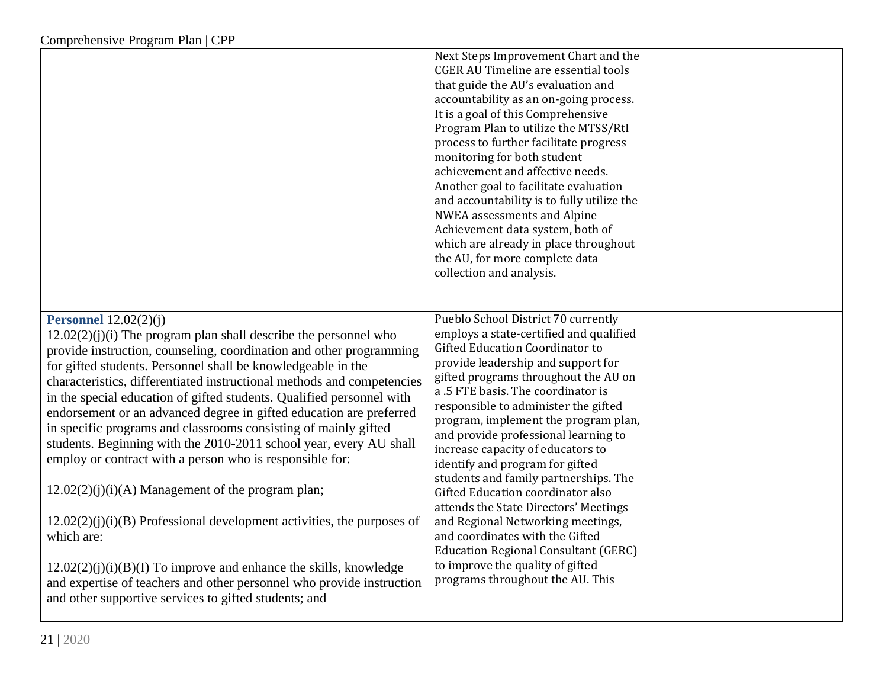|                                                                                                                                                                                                                                                                                                                                                                                                                                                                                                                                                                                                                                                                                                                                                                                                                                                                                                                                                                                                                               | Next Steps Improvement Chart and the<br><b>CGER AU Timeline are essential tools</b><br>that guide the AU's evaluation and<br>accountability as an on-going process.<br>It is a goal of this Comprehensive<br>Program Plan to utilize the MTSS/RtI<br>process to further facilitate progress<br>monitoring for both student<br>achievement and affective needs.<br>Another goal to facilitate evaluation<br>and accountability is to fully utilize the<br><b>NWEA</b> assessments and Alpine<br>Achievement data system, both of<br>which are already in place throughout<br>the AU, for more complete data<br>collection and analysis.                                                                                                                      |  |
|-------------------------------------------------------------------------------------------------------------------------------------------------------------------------------------------------------------------------------------------------------------------------------------------------------------------------------------------------------------------------------------------------------------------------------------------------------------------------------------------------------------------------------------------------------------------------------------------------------------------------------------------------------------------------------------------------------------------------------------------------------------------------------------------------------------------------------------------------------------------------------------------------------------------------------------------------------------------------------------------------------------------------------|-------------------------------------------------------------------------------------------------------------------------------------------------------------------------------------------------------------------------------------------------------------------------------------------------------------------------------------------------------------------------------------------------------------------------------------------------------------------------------------------------------------------------------------------------------------------------------------------------------------------------------------------------------------------------------------------------------------------------------------------------------------|--|
| Personnel $12.02(2)(i)$<br>$12.02(2)(i)(i)$ The program plan shall describe the personnel who<br>provide instruction, counseling, coordination and other programming<br>for gifted students. Personnel shall be knowledgeable in the<br>characteristics, differentiated instructional methods and competencies<br>in the special education of gifted students. Qualified personnel with<br>endorsement or an advanced degree in gifted education are preferred<br>in specific programs and classrooms consisting of mainly gifted<br>students. Beginning with the 2010-2011 school year, every AU shall<br>employ or contract with a person who is responsible for:<br>$12.02(2)(i)(i)(A)$ Management of the program plan;<br>$12.02(2)(i)(i)(B)$ Professional development activities, the purposes of<br>which are:<br>$12.02(2)(j)(i)(B)(I)$ To improve and enhance the skills, knowledge<br>and expertise of teachers and other personnel who provide instruction<br>and other supportive services to gifted students; and | Pueblo School District 70 currently<br>employs a state-certified and qualified<br><b>Gifted Education Coordinator to</b><br>provide leadership and support for<br>gifted programs throughout the AU on<br>a .5 FTE basis. The coordinator is<br>responsible to administer the gifted<br>program, implement the program plan,<br>and provide professional learning to<br>increase capacity of educators to<br>identify and program for gifted<br>students and family partnerships. The<br>Gifted Education coordinator also<br>attends the State Directors' Meetings<br>and Regional Networking meetings,<br>and coordinates with the Gifted<br>Education Regional Consultant (GERC)<br>to improve the quality of gifted<br>programs throughout the AU. This |  |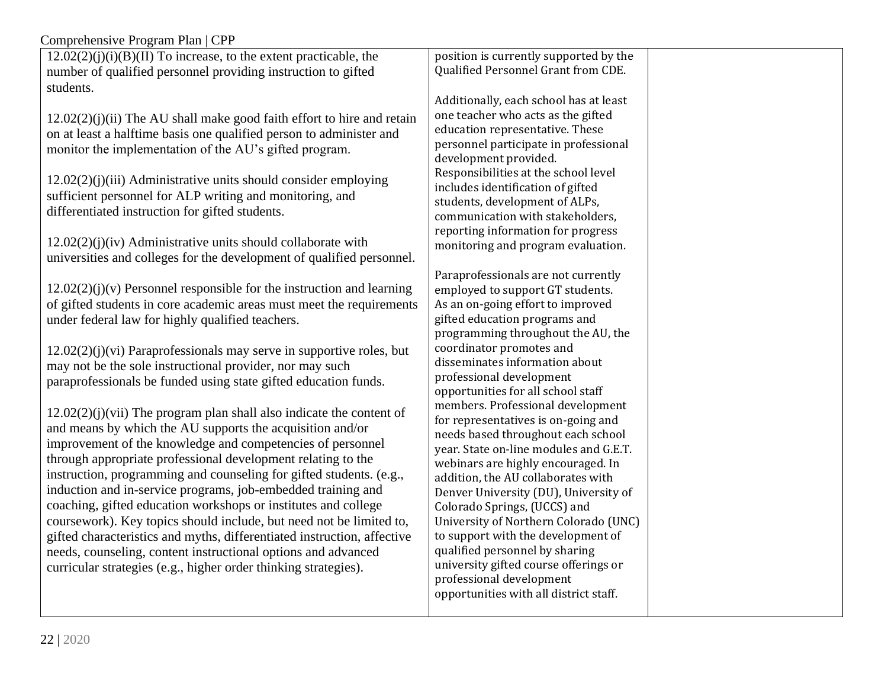| Comprehensive Program Plan   CPP                                                                                                                                                                                                                                                                                                                                                                                                                                                                                                                                                                                                                                                                                                                                 |                                                                                                                                                                                                                                                                                                                                                                                                                                                                                                                                               |  |
|------------------------------------------------------------------------------------------------------------------------------------------------------------------------------------------------------------------------------------------------------------------------------------------------------------------------------------------------------------------------------------------------------------------------------------------------------------------------------------------------------------------------------------------------------------------------------------------------------------------------------------------------------------------------------------------------------------------------------------------------------------------|-----------------------------------------------------------------------------------------------------------------------------------------------------------------------------------------------------------------------------------------------------------------------------------------------------------------------------------------------------------------------------------------------------------------------------------------------------------------------------------------------------------------------------------------------|--|
| $12.02(2)(i)(i)(B)(II)$ To increase, to the extent practicable, the                                                                                                                                                                                                                                                                                                                                                                                                                                                                                                                                                                                                                                                                                              | position is currently supported by the                                                                                                                                                                                                                                                                                                                                                                                                                                                                                                        |  |
| number of qualified personnel providing instruction to gifted<br>students.                                                                                                                                                                                                                                                                                                                                                                                                                                                                                                                                                                                                                                                                                       | Qualified Personnel Grant from CDE.                                                                                                                                                                                                                                                                                                                                                                                                                                                                                                           |  |
| $12.02(2)(i)(ii)$ The AU shall make good faith effort to hire and retain<br>on at least a halftime basis one qualified person to administer and<br>monitor the implementation of the AU's gifted program.                                                                                                                                                                                                                                                                                                                                                                                                                                                                                                                                                        | Additionally, each school has at least<br>one teacher who acts as the gifted<br>education representative. These<br>personnel participate in professional<br>development provided.                                                                                                                                                                                                                                                                                                                                                             |  |
| $12.02(2)(j)(iii)$ Administrative units should consider employing<br>sufficient personnel for ALP writing and monitoring, and<br>differentiated instruction for gifted students.                                                                                                                                                                                                                                                                                                                                                                                                                                                                                                                                                                                 | Responsibilities at the school level<br>includes identification of gifted<br>students, development of ALPs,<br>communication with stakeholders,<br>reporting information for progress                                                                                                                                                                                                                                                                                                                                                         |  |
| $12.02(2)(i)(iv)$ Administrative units should collaborate with<br>universities and colleges for the development of qualified personnel.                                                                                                                                                                                                                                                                                                                                                                                                                                                                                                                                                                                                                          | monitoring and program evaluation.                                                                                                                                                                                                                                                                                                                                                                                                                                                                                                            |  |
| $12.02(2)(j)(v)$ Personnel responsible for the instruction and learning<br>of gifted students in core academic areas must meet the requirements<br>under federal law for highly qualified teachers.                                                                                                                                                                                                                                                                                                                                                                                                                                                                                                                                                              | Paraprofessionals are not currently<br>employed to support GT students.<br>As an on-going effort to improved<br>gifted education programs and<br>programming throughout the AU, the                                                                                                                                                                                                                                                                                                                                                           |  |
| $12.02(2)(j)(vi)$ Paraprofessionals may serve in supportive roles, but<br>may not be the sole instructional provider, nor may such<br>paraprofessionals be funded using state gifted education funds.                                                                                                                                                                                                                                                                                                                                                                                                                                                                                                                                                            | coordinator promotes and<br>disseminates information about<br>professional development<br>opportunities for all school staff                                                                                                                                                                                                                                                                                                                                                                                                                  |  |
| $12.02(2)(j)(vii)$ The program plan shall also indicate the content of<br>and means by which the AU supports the acquisition and/or<br>improvement of the knowledge and competencies of personnel<br>through appropriate professional development relating to the<br>instruction, programming and counseling for gifted students. (e.g.,<br>induction and in-service programs, job-embedded training and<br>coaching, gifted education workshops or institutes and college<br>coursework). Key topics should include, but need not be limited to,<br>gifted characteristics and myths, differentiated instruction, affective<br>needs, counseling, content instructional options and advanced<br>curricular strategies (e.g., higher order thinking strategies). | members. Professional development<br>for representatives is on-going and<br>needs based throughout each school<br>year. State on-line modules and G.E.T.<br>webinars are highly encouraged. In<br>addition, the AU collaborates with<br>Denver University (DU), University of<br>Colorado Springs, (UCCS) and<br>University of Northern Colorado (UNC)<br>to support with the development of<br>qualified personnel by sharing<br>university gifted course offerings or<br>professional development<br>opportunities with all district staff. |  |
|                                                                                                                                                                                                                                                                                                                                                                                                                                                                                                                                                                                                                                                                                                                                                                  |                                                                                                                                                                                                                                                                                                                                                                                                                                                                                                                                               |  |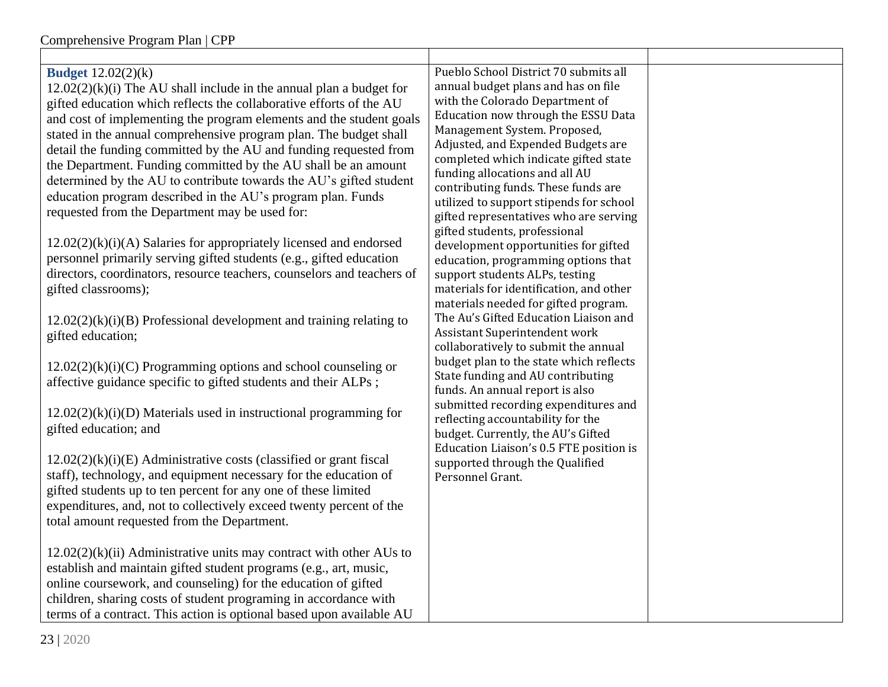| <b>Budget</b> $12.02(2)(k)$<br>$12.02(2)(k)(i)$ The AU shall include in the annual plan a budget for<br>gifted education which reflects the collaborative efforts of the AU<br>and cost of implementing the program elements and the student goals<br>stated in the annual comprehensive program plan. The budget shall<br>detail the funding committed by the AU and funding requested from<br>the Department. Funding committed by the AU shall be an amount<br>determined by the AU to contribute towards the AU's gifted student<br>education program described in the AU's program plan. Funds<br>requested from the Department may be used for:<br>$12.02(2)(k)(i)(A)$ Salaries for appropriately licensed and endorsed<br>personnel primarily serving gifted students (e.g., gifted education<br>directors, coordinators, resource teachers, counselors and teachers of<br>gifted classrooms);<br>$12.02(2)(k)(i)(B)$ Professional development and training relating to<br>gifted education;<br>$12.02(2)(k)(i)(C)$ Programming options and school counseling or<br>affective guidance specific to gifted students and their ALPs;<br>$12.02(2)(k)(i)(D)$ Materials used in instructional programming for<br>gifted education; and<br>$12.02(2)(k)(i)(E)$ Administrative costs (classified or grant fiscal<br>staff), technology, and equipment necessary for the education of<br>gifted students up to ten percent for any one of these limited<br>expenditures, and, not to collectively exceed twenty percent of the<br>total amount requested from the Department.<br>$12.02(2)(k)(ii)$ Administrative units may contract with other AUs to<br>establish and maintain gifted student programs (e.g., art, music,<br>online coursework, and counseling) for the education of gifted<br>children, sharing costs of student programing in accordance with<br>terms of a contract. This action is optional based upon available AU | Pueblo School District 70 submits all<br>annual budget plans and has on file<br>with the Colorado Department of<br>Education now through the ESSU Data<br>Management System. Proposed,<br>Adjusted, and Expended Budgets are<br>completed which indicate gifted state<br>funding allocations and all AU<br>contributing funds. These funds are<br>utilized to support stipends for school<br>gifted representatives who are serving<br>gifted students, professional<br>development opportunities for gifted<br>education, programming options that<br>support students ALPs, testing<br>materials for identification, and other<br>materials needed for gifted program.<br>The Au's Gifted Education Liaison and<br>Assistant Superintendent work<br>collaboratively to submit the annual<br>budget plan to the state which reflects<br>State funding and AU contributing<br>funds. An annual report is also<br>submitted recording expenditures and<br>reflecting accountability for the<br>budget. Currently, the AU's Gifted<br>Education Liaison's 0.5 FTE position is<br>supported through the Qualified<br>Personnel Grant. |  |
|-------------------------------------------------------------------------------------------------------------------------------------------------------------------------------------------------------------------------------------------------------------------------------------------------------------------------------------------------------------------------------------------------------------------------------------------------------------------------------------------------------------------------------------------------------------------------------------------------------------------------------------------------------------------------------------------------------------------------------------------------------------------------------------------------------------------------------------------------------------------------------------------------------------------------------------------------------------------------------------------------------------------------------------------------------------------------------------------------------------------------------------------------------------------------------------------------------------------------------------------------------------------------------------------------------------------------------------------------------------------------------------------------------------------------------------------------------------------------------------------------------------------------------------------------------------------------------------------------------------------------------------------------------------------------------------------------------------------------------------------------------------------------------------------------------------------------------------------------------------------------------------------------------------------------------------------|------------------------------------------------------------------------------------------------------------------------------------------------------------------------------------------------------------------------------------------------------------------------------------------------------------------------------------------------------------------------------------------------------------------------------------------------------------------------------------------------------------------------------------------------------------------------------------------------------------------------------------------------------------------------------------------------------------------------------------------------------------------------------------------------------------------------------------------------------------------------------------------------------------------------------------------------------------------------------------------------------------------------------------------------------------------------------------------------------------------------------------|--|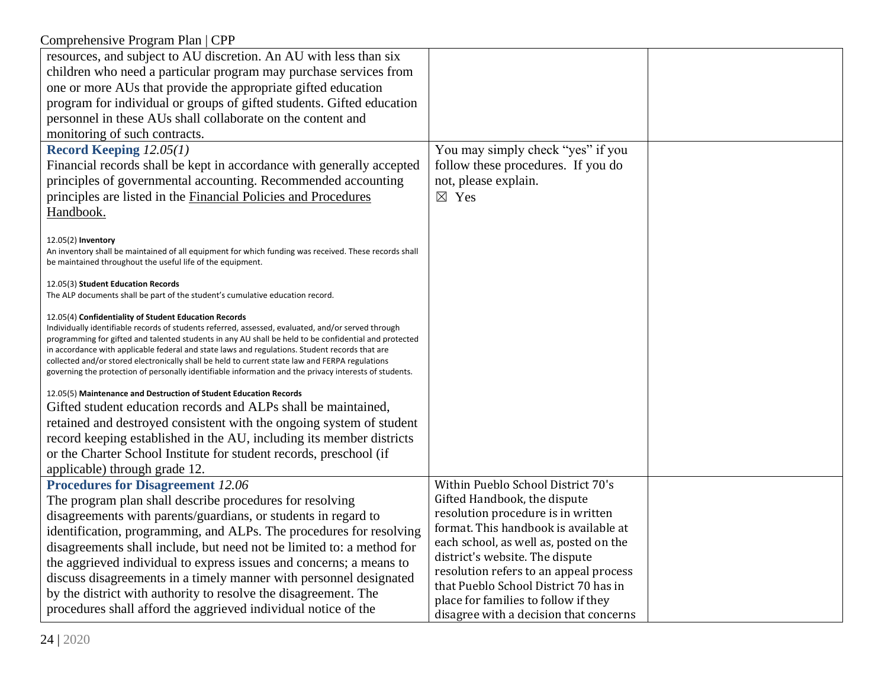### Comprehensive Program Plan | CPP

| $\sum_{i=1}^{n}$                                                                                                                                                                                            |                                                                           |  |
|-------------------------------------------------------------------------------------------------------------------------------------------------------------------------------------------------------------|---------------------------------------------------------------------------|--|
| resources, and subject to AU discretion. An AU with less than six                                                                                                                                           |                                                                           |  |
| children who need a particular program may purchase services from                                                                                                                                           |                                                                           |  |
| one or more AUs that provide the appropriate gifted education                                                                                                                                               |                                                                           |  |
| program for individual or groups of gifted students. Gifted education                                                                                                                                       |                                                                           |  |
| personnel in these AUs shall collaborate on the content and                                                                                                                                                 |                                                                           |  |
| monitoring of such contracts.                                                                                                                                                                               |                                                                           |  |
| Record Keeping 12.05(1)                                                                                                                                                                                     | You may simply check "yes" if you                                         |  |
| Financial records shall be kept in accordance with generally accepted                                                                                                                                       | follow these procedures. If you do                                        |  |
| principles of governmental accounting. Recommended accounting                                                                                                                                               | not, please explain.                                                      |  |
| principles are listed in the Financial Policies and Procedures                                                                                                                                              | $\boxtimes$ Yes                                                           |  |
| Handbook.                                                                                                                                                                                                   |                                                                           |  |
|                                                                                                                                                                                                             |                                                                           |  |
| 12.05(2) Inventory                                                                                                                                                                                          |                                                                           |  |
| An inventory shall be maintained of all equipment for which funding was received. These records shall<br>be maintained throughout the useful life of the equipment.                                         |                                                                           |  |
|                                                                                                                                                                                                             |                                                                           |  |
| 12.05(3) Student Education Records<br>The ALP documents shall be part of the student's cumulative education record.                                                                                         |                                                                           |  |
|                                                                                                                                                                                                             |                                                                           |  |
| 12.05(4) Confidentiality of Student Education Records                                                                                                                                                       |                                                                           |  |
| Individually identifiable records of students referred, assessed, evaluated, and/or served through<br>programming for gifted and talented students in any AU shall be held to be confidential and protected |                                                                           |  |
| in accordance with applicable federal and state laws and regulations. Student records that are                                                                                                              |                                                                           |  |
| collected and/or stored electronically shall be held to current state law and FERPA regulations<br>governing the protection of personally identifiable information and the privacy interests of students.   |                                                                           |  |
|                                                                                                                                                                                                             |                                                                           |  |
| 12.05(5) Maintenance and Destruction of Student Education Records                                                                                                                                           |                                                                           |  |
| Gifted student education records and ALPs shall be maintained,                                                                                                                                              |                                                                           |  |
| retained and destroyed consistent with the ongoing system of student                                                                                                                                        |                                                                           |  |
| record keeping established in the AU, including its member districts                                                                                                                                        |                                                                           |  |
| or the Charter School Institute for student records, preschool (if                                                                                                                                          |                                                                           |  |
| applicable) through grade 12.                                                                                                                                                                               |                                                                           |  |
| <b>Procedures for Disagreement 12.06</b>                                                                                                                                                                    | Within Pueblo School District 70's                                        |  |
| The program plan shall describe procedures for resolving                                                                                                                                                    | Gifted Handbook, the dispute                                              |  |
| disagreements with parents/guardians, or students in regard to                                                                                                                                              | resolution procedure is in written                                        |  |
| identification, programming, and ALPs. The procedures for resolving                                                                                                                                         | format. This handbook is available at                                     |  |
| disagreements shall include, but need not be limited to: a method for                                                                                                                                       | each school, as well as, posted on the                                    |  |
| the aggrieved individual to express issues and concerns; a means to                                                                                                                                         | district's website. The dispute<br>resolution refers to an appeal process |  |
| discuss disagreements in a timely manner with personnel designated                                                                                                                                          | that Pueblo School District 70 has in                                     |  |
| by the district with authority to resolve the disagreement. The                                                                                                                                             | place for families to follow if they                                      |  |
| procedures shall afford the aggrieved individual notice of the                                                                                                                                              | disagree with a decision that concerns                                    |  |
|                                                                                                                                                                                                             |                                                                           |  |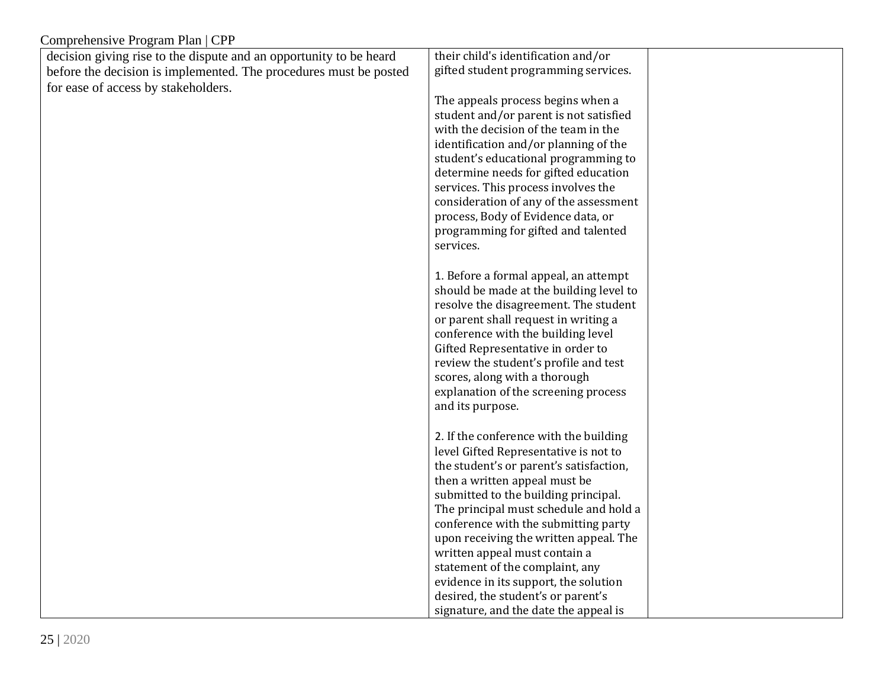| Comprehensive Program Plan   CPP                                   |                                                                                  |  |
|--------------------------------------------------------------------|----------------------------------------------------------------------------------|--|
| decision giving rise to the dispute and an opportunity to be heard | their child's identification and/or                                              |  |
| before the decision is implemented. The procedures must be posted  | gifted student programming services.                                             |  |
| for ease of access by stakeholders.                                |                                                                                  |  |
|                                                                    | The appeals process begins when a                                                |  |
|                                                                    | student and/or parent is not satisfied                                           |  |
|                                                                    | with the decision of the team in the                                             |  |
|                                                                    | identification and/or planning of the                                            |  |
|                                                                    | student's educational programming to                                             |  |
|                                                                    | determine needs for gifted education                                             |  |
|                                                                    | services. This process involves the                                              |  |
|                                                                    | consideration of any of the assessment                                           |  |
|                                                                    | process, Body of Evidence data, or                                               |  |
|                                                                    | programming for gifted and talented                                              |  |
|                                                                    | services.                                                                        |  |
|                                                                    |                                                                                  |  |
|                                                                    | 1. Before a formal appeal, an attempt<br>should be made at the building level to |  |
|                                                                    | resolve the disagreement. The student                                            |  |
|                                                                    | or parent shall request in writing a                                             |  |
|                                                                    | conference with the building level                                               |  |
|                                                                    | Gifted Representative in order to                                                |  |
|                                                                    | review the student's profile and test                                            |  |
|                                                                    | scores, along with a thorough                                                    |  |
|                                                                    | explanation of the screening process                                             |  |
|                                                                    | and its purpose.                                                                 |  |
|                                                                    |                                                                                  |  |
|                                                                    | 2. If the conference with the building                                           |  |
|                                                                    | level Gifted Representative is not to                                            |  |
|                                                                    | the student's or parent's satisfaction,                                          |  |
|                                                                    | then a written appeal must be                                                    |  |
|                                                                    | submitted to the building principal.                                             |  |
|                                                                    | The principal must schedule and hold a                                           |  |
|                                                                    | conference with the submitting party                                             |  |
|                                                                    | upon receiving the written appeal. The                                           |  |
|                                                                    | written appeal must contain a                                                    |  |
|                                                                    | statement of the complaint, any                                                  |  |
|                                                                    | evidence in its support, the solution                                            |  |
|                                                                    | desired, the student's or parent's                                               |  |
|                                                                    | signature, and the date the appeal is                                            |  |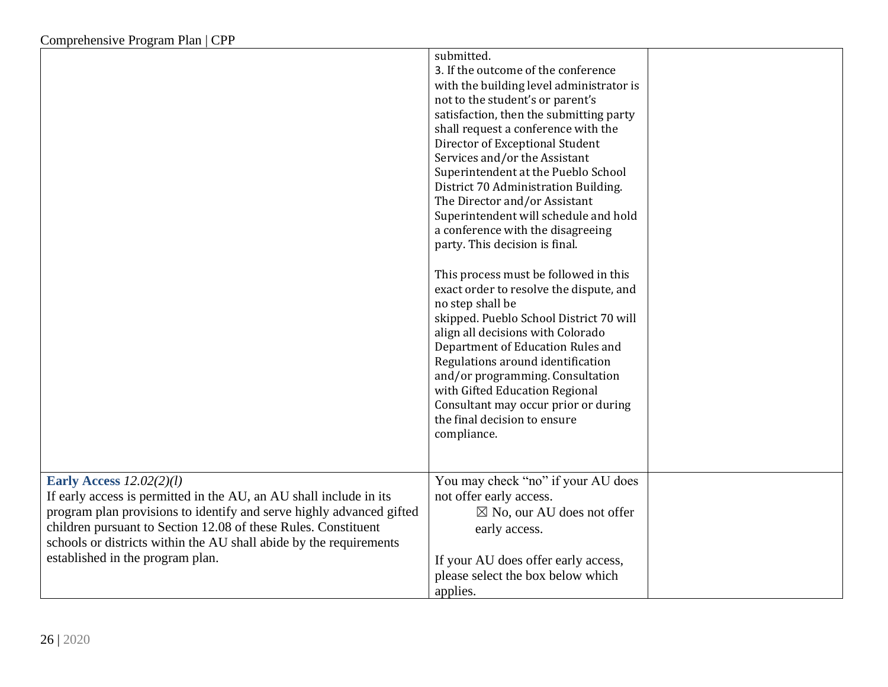|                                                                                                                                                                                                                                                                                                                                                      | submitted.<br>3. If the outcome of the conference<br>with the building level administrator is<br>not to the student's or parent's<br>satisfaction, then the submitting party<br>shall request a conference with the<br>Director of Exceptional Student<br>Services and/or the Assistant<br>Superintendent at the Pueblo School<br>District 70 Administration Building.<br>The Director and/or Assistant<br>Superintendent will schedule and hold<br>a conference with the disagreeing<br>party. This decision is final.<br>This process must be followed in this<br>exact order to resolve the dispute, and<br>no step shall be<br>skipped. Pueblo School District 70 will<br>align all decisions with Colorado<br>Department of Education Rules and<br>Regulations around identification<br>and/or programming. Consultation<br>with Gifted Education Regional<br>Consultant may occur prior or during<br>the final decision to ensure<br>compliance. |  |
|------------------------------------------------------------------------------------------------------------------------------------------------------------------------------------------------------------------------------------------------------------------------------------------------------------------------------------------------------|--------------------------------------------------------------------------------------------------------------------------------------------------------------------------------------------------------------------------------------------------------------------------------------------------------------------------------------------------------------------------------------------------------------------------------------------------------------------------------------------------------------------------------------------------------------------------------------------------------------------------------------------------------------------------------------------------------------------------------------------------------------------------------------------------------------------------------------------------------------------------------------------------------------------------------------------------------|--|
| Early Access $12.02(2)(l)$<br>If early access is permitted in the AU, an AU shall include in its<br>program plan provisions to identify and serve highly advanced gifted<br>children pursuant to Section 12.08 of these Rules. Constituent<br>schools or districts within the AU shall abide by the requirements<br>established in the program plan. | You may check "no" if your AU does<br>not offer early access.<br>$\boxtimes$ No, our AU does not offer<br>early access.<br>If your AU does offer early access,<br>please select the box below which<br>applies.                                                                                                                                                                                                                                                                                                                                                                                                                                                                                                                                                                                                                                                                                                                                        |  |